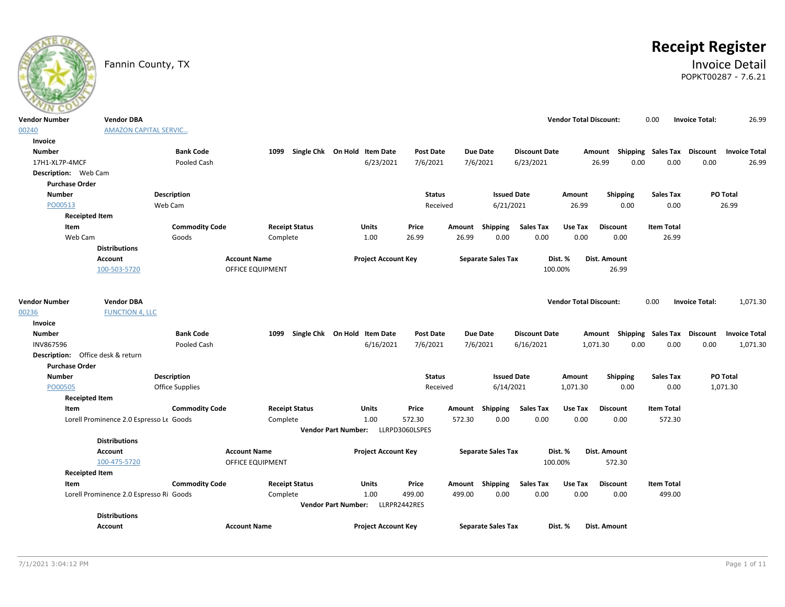

# **Receipt Register**

## Fannin County, TX **Invoice Detail** POPKT00287 - 7.6.21

| $\sim$                      |                                         |                       |                            |                                    |                  |                           |                      |                               |                           |                   |                       |                      |
|-----------------------------|-----------------------------------------|-----------------------|----------------------------|------------------------------------|------------------|---------------------------|----------------------|-------------------------------|---------------------------|-------------------|-----------------------|----------------------|
| <b>Vendor Number</b>        | <b>Vendor DBA</b>                       |                       |                            |                                    |                  |                           |                      | <b>Vendor Total Discount:</b> |                           | 0.00              | <b>Invoice Total:</b> | 26.99                |
| 00240                       | <b>AMAZON CAPITAL SERVIC</b>            |                       |                            |                                    |                  |                           |                      |                               |                           |                   |                       |                      |
| Invoice                     |                                         |                       |                            |                                    |                  |                           |                      |                               |                           |                   |                       |                      |
| <b>Number</b>               |                                         | <b>Bank Code</b>      | 1099                       | Single Chk On Hold Item Date       | <b>Post Date</b> | Due Date                  | <b>Discount Date</b> |                               | Amount Shipping Sales Tax |                   | Discount              | <b>Invoice Total</b> |
| 17H1-XL7P-4MCF              |                                         | Pooled Cash           |                            | 6/23/2021                          | 7/6/2021         | 7/6/2021                  | 6/23/2021            | 26.99                         | 0.00                      | 0.00              | 0.00                  | 26.99                |
| <b>Description:</b> Web Cam |                                         |                       |                            |                                    |                  |                           |                      |                               |                           |                   |                       |                      |
| <b>Purchase Order</b>       |                                         |                       |                            |                                    |                  |                           |                      |                               |                           |                   |                       |                      |
| <b>Number</b>               |                                         | <b>Description</b>    |                            |                                    | <b>Status</b>    |                           | <b>Issued Date</b>   | Amount                        | Shipping                  | <b>Sales Tax</b>  | PO Total              |                      |
| PO00513                     |                                         | Web Cam               |                            |                                    | Received         |                           | 6/21/2021            | 26.99                         | 0.00                      | 0.00              | 26.99                 |                      |
|                             | <b>Receipted Item</b>                   |                       |                            |                                    |                  |                           |                      |                               |                           |                   |                       |                      |
| Item                        |                                         | <b>Commodity Code</b> | <b>Receipt Status</b>      | Units                              | Price            | Shipping<br>Amount        | <b>Sales Tax</b>     | Use Tax                       | <b>Discount</b>           | <b>Item Total</b> |                       |                      |
|                             | Web Cam                                 | Goods                 | Complete                   | 1.00                               | 26.99            | 26.99<br>0.00             | 0.00                 | 0.00                          | 0.00                      | 26.99             |                       |                      |
|                             | <b>Distributions</b>                    |                       |                            |                                    |                  |                           |                      |                               |                           |                   |                       |                      |
|                             | Account                                 |                       | <b>Account Name</b>        | <b>Project Account Key</b>         |                  | <b>Separate Sales Tax</b> |                      | Dist. %                       | Dist. Amount              |                   |                       |                      |
|                             | 100-503-5720                            |                       | <b>OFFICE EQUIPMENT</b>    |                                    |                  |                           |                      | 100.00%                       | 26.99                     |                   |                       |                      |
|                             |                                         |                       |                            |                                    |                  |                           |                      |                               |                           |                   |                       |                      |
| <b>Vendor Number</b>        | <b>Vendor DBA</b>                       |                       |                            |                                    |                  |                           |                      | <b>Vendor Total Discount:</b> |                           | 0.00              | <b>Invoice Total:</b> | 1,071.30             |
| 00236                       | <b>FUNCTION 4, LLC</b>                  |                       |                            |                                    |                  |                           |                      |                               |                           |                   |                       |                      |
| Invoice                     |                                         |                       |                            |                                    |                  |                           |                      |                               |                           |                   |                       |                      |
| <b>Number</b>               |                                         | <b>Bank Code</b>      | 1099                       | Single Chk On Hold Item Date       | <b>Post Date</b> | <b>Due Date</b>           | <b>Discount Date</b> |                               | Amount Shipping Sales Tax |                   | <b>Discount</b>       | <b>Invoice Total</b> |
| INV867596                   |                                         | Pooled Cash           |                            | 6/16/2021                          | 7/6/2021         | 7/6/2021                  | 6/16/2021            | 1,071.30                      | 0.00                      | 0.00              | 0.00                  | 1,071.30             |
|                             | Description: Office desk & return       |                       |                            |                                    |                  |                           |                      |                               |                           |                   |                       |                      |
| <b>Purchase Order</b>       |                                         |                       |                            |                                    |                  |                           |                      |                               |                           |                   |                       |                      |
| <b>Number</b>               |                                         | <b>Description</b>    |                            |                                    | <b>Status</b>    |                           | <b>Issued Date</b>   | Amount                        | <b>Shipping</b>           | <b>Sales Tax</b>  | PO Total              |                      |
| PO00505                     |                                         | Office Supplies       |                            |                                    | Received         |                           | 6/14/2021            | 1,071.30                      | 0.00                      | 0.00              | 1,071.30              |                      |
|                             | <b>Receipted Item</b>                   |                       |                            |                                    |                  |                           |                      |                               |                           |                   |                       |                      |
| Item                        |                                         | <b>Commodity Code</b> | <b>Receipt Status</b>      | Units                              | Price            | Shipping<br>Amount        | <b>Sales Tax</b>     | Use Tax                       | <b>Discount</b>           | <b>Item Total</b> |                       |                      |
|                             | Lorell Prominence 2.0 Espresso Le Goods |                       | Complete                   | 1.00                               | 572.30           | 572.30<br>0.00            | 0.00                 | 0.00                          | 0.00                      | 572.30            |                       |                      |
|                             |                                         |                       |                            | Vendor Part Number: LLRPD3060LSPES |                  |                           |                      |                               |                           |                   |                       |                      |
|                             | <b>Distributions</b>                    |                       |                            |                                    |                  |                           |                      |                               |                           |                   |                       |                      |
|                             | Account                                 |                       | <b>Account Name</b>        | <b>Project Account Key</b>         |                  | <b>Separate Sales Tax</b> |                      | Dist. %                       | Dist. Amount              |                   |                       |                      |
|                             | 100-475-5720                            |                       | OFFICE EQUIPMENT           |                                    |                  |                           |                      | 100.00%                       | 572.30                    |                   |                       |                      |
|                             | <b>Receipted Item</b>                   |                       |                            |                                    |                  |                           |                      |                               |                           |                   |                       |                      |
| Item                        |                                         | <b>Commodity Code</b> | <b>Receipt Status</b>      | <b>Units</b>                       | Price            | Amount Shipping           | <b>Sales Tax</b>     | Use Tax                       | <b>Discount</b>           | <b>Item Total</b> |                       |                      |
|                             | Lorell Prominence 2.0 Espresso Ri Goods |                       | Complete                   | 1.00                               | 499.00           | 0.00<br>499.00            | 0.00                 | 0.00                          | 0.00                      | 499.00            |                       |                      |
|                             |                                         |                       | <b>Vendor Part Number:</b> | LLRPR2442RES                       |                  |                           |                      |                               |                           |                   |                       |                      |
|                             | <b>Distributions</b>                    |                       |                            |                                    |                  |                           |                      |                               |                           |                   |                       |                      |
|                             | Account                                 |                       | <b>Account Name</b>        | <b>Project Account Key</b>         |                  | <b>Separate Sales Tax</b> |                      | Dist. %                       | Dist. Amount              |                   |                       |                      |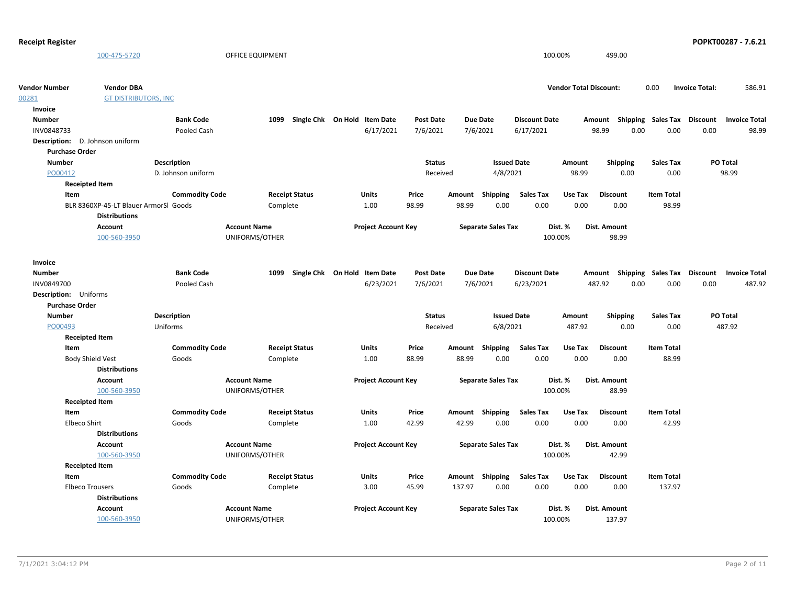| 100.00%<br>499.00<br>100-475-5720<br><b>OFFICE EQUIPMENT</b><br><b>Vendor Number</b><br><b>Vendor DBA</b><br><b>Vendor Total Discount:</b><br>0.00<br><b>Invoice Total:</b><br>586.91<br><b>GT DISTRIBUTORS, INC</b><br>00281<br>Invoice<br><b>Number</b><br><b>Bank Code</b><br>1099 Single Chk On Hold Item Date<br><b>Post Date</b><br><b>Due Date</b><br><b>Discount Date</b><br>Amount Shipping Sales Tax Discount<br><b>Invoice Total</b><br>INV0848733<br>6/17/2021<br>7/6/2021<br>6/17/2021<br>98.99<br>0.00<br>0.00<br>0.00<br>98.99<br>Pooled Cash<br>7/6/2021<br>Description: D. Johnson uniform<br><b>Purchase Order</b><br>Description<br><b>Status</b><br><b>Issued Date</b><br>PO Total<br><b>Number</b><br>Amount<br><b>Shipping</b><br><b>Sales Tax</b><br>PO00412<br>4/8/2021<br>98.99<br>0.00<br>0.00<br>98.99<br>D. Johnson uniform<br>Received<br><b>Receipted Item</b><br>Item<br><b>Commodity Code</b><br><b>Receipt Status</b><br>Units<br>Price<br><b>Sales Tax</b><br>Use Tax<br><b>Discount</b><br><b>Item Total</b><br>Amount<br>Shipping<br>0.00<br>1.00<br>98.99<br>98.99<br>0.00<br>0.00<br>0.00<br>98.99<br>BLR 8360XP-45-LT Blauer ArmorSl Goods<br>Complete<br><b>Distributions</b><br>Account<br><b>Account Name</b><br><b>Project Account Key</b><br><b>Separate Sales Tax</b><br>Dist. %<br>Dist. Amount<br>100-560-3950<br>UNIFORMS/OTHER<br>100.00%<br>98.99<br>Invoice<br><b>Bank Code</b><br>1099<br>Single Chk On Hold Item Date<br>Post Date<br><b>Due Date</b><br><b>Discount Date</b><br>Amount Shipping Sales Tax Discount<br><b>Number</b><br><b>Invoice Total</b><br>6/23/2021<br>7/6/2021<br>487.92<br>0.00<br>0.00<br>0.00<br>7/6/2021<br>6/23/2021<br>487.92<br>INV0849700<br>Pooled Cash<br>Description: Uniforms<br><b>Purchase Order</b><br><b>Number</b><br><b>Issued Date</b><br>PO Total<br><b>Description</b><br><b>Status</b><br><b>Shipping</b><br><b>Sales Tax</b><br>Amount<br>PO00493<br>Uniforms<br>Received<br>6/8/2021<br>487.92<br>487.92<br>0.00<br>0.00<br><b>Receipted Item</b><br><b>Item Total</b><br>Item<br><b>Commodity Code</b><br><b>Receipt Status</b><br><b>Units</b><br>Price<br>Amount Shipping<br><b>Sales Tax</b><br>Use Tax<br><b>Discount</b><br>0.00<br>0.00<br><b>Body Shield Vest</b><br>Goods<br>1.00<br>88.99<br>88.99<br>0.00<br>0.00<br>88.99<br>Complete<br><b>Distributions</b><br>Account<br><b>Account Name</b><br><b>Project Account Key</b><br><b>Separate Sales Tax</b><br>Dist. %<br>Dist. Amount<br>100-560-3950<br>100.00%<br>UNIFORMS/OTHER<br>88.99<br><b>Receipted Item</b><br>Item<br><b>Commodity Code</b><br><b>Sales Tax</b><br><b>Item Total</b><br><b>Receipt Status</b><br><b>Units</b><br>Price<br>Amount Shipping<br>Use Tax<br><b>Discount</b><br>42.99<br>0.00<br>0.00<br>Elbeco Shirt<br>1.00<br>42.99<br>0.00<br>0.00<br>42.99<br>Goods<br>Complete<br><b>Distributions</b><br><b>Account Name</b><br>Dist. %<br>Dist. Amount<br>Account<br><b>Project Account Key</b><br><b>Separate Sales Tax</b><br>100-560-3950<br>UNIFORMS/OTHER<br>100.00%<br>42.99<br><b>Receipted Item</b><br>Item<br><b>Commodity Code</b><br><b>Receipt Status</b><br>Units<br>Price<br><b>Sales Tax</b><br>Use Tax<br>Amount Shipping<br><b>Discount</b><br><b>Item Total</b><br>3.00<br>137.97<br>0.00<br>0.00<br>0.00<br>0.00<br>137.97<br><b>Elbeco Trousers</b><br>Goods<br>Complete<br>45.99<br><b>Distributions</b><br><b>Account Name</b><br><b>Project Account Key</b><br><b>Separate Sales Tax</b><br>Dist. Amount<br>Account<br>Dist. %<br>100-560-3950<br>UNIFORMS/OTHER<br>100.00%<br>137.97 | <b>Receipt Register</b> |  |  |  |  |  | POPKT00287 - 7.6.21 |
|-----------------------------------------------------------------------------------------------------------------------------------------------------------------------------------------------------------------------------------------------------------------------------------------------------------------------------------------------------------------------------------------------------------------------------------------------------------------------------------------------------------------------------------------------------------------------------------------------------------------------------------------------------------------------------------------------------------------------------------------------------------------------------------------------------------------------------------------------------------------------------------------------------------------------------------------------------------------------------------------------------------------------------------------------------------------------------------------------------------------------------------------------------------------------------------------------------------------------------------------------------------------------------------------------------------------------------------------------------------------------------------------------------------------------------------------------------------------------------------------------------------------------------------------------------------------------------------------------------------------------------------------------------------------------------------------------------------------------------------------------------------------------------------------------------------------------------------------------------------------------------------------------------------------------------------------------------------------------------------------------------------------------------------------------------------------------------------------------------------------------------------------------------------------------------------------------------------------------------------------------------------------------------------------------------------------------------------------------------------------------------------------------------------------------------------------------------------------------------------------------------------------------------------------------------------------------------------------------------------------------------------------------------------------------------------------------------------------------------------------------------------------------------------------------------------------------------------------------------------------------------------------------------------------------------------------------------------------------------------------------------------------------------------------------------------------------------------------------------------------------------------------------------------------------------------------------------------------------------------------------------------------------------------------------------------------------------------------------------------------------------------------------------------------------------------------------------------------------------------------------------------------------------------------------------------------------------------------------------------|-------------------------|--|--|--|--|--|---------------------|
|                                                                                                                                                                                                                                                                                                                                                                                                                                                                                                                                                                                                                                                                                                                                                                                                                                                                                                                                                                                                                                                                                                                                                                                                                                                                                                                                                                                                                                                                                                                                                                                                                                                                                                                                                                                                                                                                                                                                                                                                                                                                                                                                                                                                                                                                                                                                                                                                                                                                                                                                                                                                                                                                                                                                                                                                                                                                                                                                                                                                                                                                                                                                                                                                                                                                                                                                                                                                                                                                                                                                                                                                           |                         |  |  |  |  |  |                     |
|                                                                                                                                                                                                                                                                                                                                                                                                                                                                                                                                                                                                                                                                                                                                                                                                                                                                                                                                                                                                                                                                                                                                                                                                                                                                                                                                                                                                                                                                                                                                                                                                                                                                                                                                                                                                                                                                                                                                                                                                                                                                                                                                                                                                                                                                                                                                                                                                                                                                                                                                                                                                                                                                                                                                                                                                                                                                                                                                                                                                                                                                                                                                                                                                                                                                                                                                                                                                                                                                                                                                                                                                           |                         |  |  |  |  |  |                     |
|                                                                                                                                                                                                                                                                                                                                                                                                                                                                                                                                                                                                                                                                                                                                                                                                                                                                                                                                                                                                                                                                                                                                                                                                                                                                                                                                                                                                                                                                                                                                                                                                                                                                                                                                                                                                                                                                                                                                                                                                                                                                                                                                                                                                                                                                                                                                                                                                                                                                                                                                                                                                                                                                                                                                                                                                                                                                                                                                                                                                                                                                                                                                                                                                                                                                                                                                                                                                                                                                                                                                                                                                           |                         |  |  |  |  |  |                     |
|                                                                                                                                                                                                                                                                                                                                                                                                                                                                                                                                                                                                                                                                                                                                                                                                                                                                                                                                                                                                                                                                                                                                                                                                                                                                                                                                                                                                                                                                                                                                                                                                                                                                                                                                                                                                                                                                                                                                                                                                                                                                                                                                                                                                                                                                                                                                                                                                                                                                                                                                                                                                                                                                                                                                                                                                                                                                                                                                                                                                                                                                                                                                                                                                                                                                                                                                                                                                                                                                                                                                                                                                           |                         |  |  |  |  |  |                     |
|                                                                                                                                                                                                                                                                                                                                                                                                                                                                                                                                                                                                                                                                                                                                                                                                                                                                                                                                                                                                                                                                                                                                                                                                                                                                                                                                                                                                                                                                                                                                                                                                                                                                                                                                                                                                                                                                                                                                                                                                                                                                                                                                                                                                                                                                                                                                                                                                                                                                                                                                                                                                                                                                                                                                                                                                                                                                                                                                                                                                                                                                                                                                                                                                                                                                                                                                                                                                                                                                                                                                                                                                           |                         |  |  |  |  |  |                     |
|                                                                                                                                                                                                                                                                                                                                                                                                                                                                                                                                                                                                                                                                                                                                                                                                                                                                                                                                                                                                                                                                                                                                                                                                                                                                                                                                                                                                                                                                                                                                                                                                                                                                                                                                                                                                                                                                                                                                                                                                                                                                                                                                                                                                                                                                                                                                                                                                                                                                                                                                                                                                                                                                                                                                                                                                                                                                                                                                                                                                                                                                                                                                                                                                                                                                                                                                                                                                                                                                                                                                                                                                           |                         |  |  |  |  |  |                     |
|                                                                                                                                                                                                                                                                                                                                                                                                                                                                                                                                                                                                                                                                                                                                                                                                                                                                                                                                                                                                                                                                                                                                                                                                                                                                                                                                                                                                                                                                                                                                                                                                                                                                                                                                                                                                                                                                                                                                                                                                                                                                                                                                                                                                                                                                                                                                                                                                                                                                                                                                                                                                                                                                                                                                                                                                                                                                                                                                                                                                                                                                                                                                                                                                                                                                                                                                                                                                                                                                                                                                                                                                           |                         |  |  |  |  |  |                     |
|                                                                                                                                                                                                                                                                                                                                                                                                                                                                                                                                                                                                                                                                                                                                                                                                                                                                                                                                                                                                                                                                                                                                                                                                                                                                                                                                                                                                                                                                                                                                                                                                                                                                                                                                                                                                                                                                                                                                                                                                                                                                                                                                                                                                                                                                                                                                                                                                                                                                                                                                                                                                                                                                                                                                                                                                                                                                                                                                                                                                                                                                                                                                                                                                                                                                                                                                                                                                                                                                                                                                                                                                           |                         |  |  |  |  |  |                     |
|                                                                                                                                                                                                                                                                                                                                                                                                                                                                                                                                                                                                                                                                                                                                                                                                                                                                                                                                                                                                                                                                                                                                                                                                                                                                                                                                                                                                                                                                                                                                                                                                                                                                                                                                                                                                                                                                                                                                                                                                                                                                                                                                                                                                                                                                                                                                                                                                                                                                                                                                                                                                                                                                                                                                                                                                                                                                                                                                                                                                                                                                                                                                                                                                                                                                                                                                                                                                                                                                                                                                                                                                           |                         |  |  |  |  |  |                     |
|                                                                                                                                                                                                                                                                                                                                                                                                                                                                                                                                                                                                                                                                                                                                                                                                                                                                                                                                                                                                                                                                                                                                                                                                                                                                                                                                                                                                                                                                                                                                                                                                                                                                                                                                                                                                                                                                                                                                                                                                                                                                                                                                                                                                                                                                                                                                                                                                                                                                                                                                                                                                                                                                                                                                                                                                                                                                                                                                                                                                                                                                                                                                                                                                                                                                                                                                                                                                                                                                                                                                                                                                           |                         |  |  |  |  |  |                     |
|                                                                                                                                                                                                                                                                                                                                                                                                                                                                                                                                                                                                                                                                                                                                                                                                                                                                                                                                                                                                                                                                                                                                                                                                                                                                                                                                                                                                                                                                                                                                                                                                                                                                                                                                                                                                                                                                                                                                                                                                                                                                                                                                                                                                                                                                                                                                                                                                                                                                                                                                                                                                                                                                                                                                                                                                                                                                                                                                                                                                                                                                                                                                                                                                                                                                                                                                                                                                                                                                                                                                                                                                           |                         |  |  |  |  |  |                     |
|                                                                                                                                                                                                                                                                                                                                                                                                                                                                                                                                                                                                                                                                                                                                                                                                                                                                                                                                                                                                                                                                                                                                                                                                                                                                                                                                                                                                                                                                                                                                                                                                                                                                                                                                                                                                                                                                                                                                                                                                                                                                                                                                                                                                                                                                                                                                                                                                                                                                                                                                                                                                                                                                                                                                                                                                                                                                                                                                                                                                                                                                                                                                                                                                                                                                                                                                                                                                                                                                                                                                                                                                           |                         |  |  |  |  |  |                     |
|                                                                                                                                                                                                                                                                                                                                                                                                                                                                                                                                                                                                                                                                                                                                                                                                                                                                                                                                                                                                                                                                                                                                                                                                                                                                                                                                                                                                                                                                                                                                                                                                                                                                                                                                                                                                                                                                                                                                                                                                                                                                                                                                                                                                                                                                                                                                                                                                                                                                                                                                                                                                                                                                                                                                                                                                                                                                                                                                                                                                                                                                                                                                                                                                                                                                                                                                                                                                                                                                                                                                                                                                           |                         |  |  |  |  |  |                     |
|                                                                                                                                                                                                                                                                                                                                                                                                                                                                                                                                                                                                                                                                                                                                                                                                                                                                                                                                                                                                                                                                                                                                                                                                                                                                                                                                                                                                                                                                                                                                                                                                                                                                                                                                                                                                                                                                                                                                                                                                                                                                                                                                                                                                                                                                                                                                                                                                                                                                                                                                                                                                                                                                                                                                                                                                                                                                                                                                                                                                                                                                                                                                                                                                                                                                                                                                                                                                                                                                                                                                                                                                           |                         |  |  |  |  |  |                     |
|                                                                                                                                                                                                                                                                                                                                                                                                                                                                                                                                                                                                                                                                                                                                                                                                                                                                                                                                                                                                                                                                                                                                                                                                                                                                                                                                                                                                                                                                                                                                                                                                                                                                                                                                                                                                                                                                                                                                                                                                                                                                                                                                                                                                                                                                                                                                                                                                                                                                                                                                                                                                                                                                                                                                                                                                                                                                                                                                                                                                                                                                                                                                                                                                                                                                                                                                                                                                                                                                                                                                                                                                           |                         |  |  |  |  |  |                     |
|                                                                                                                                                                                                                                                                                                                                                                                                                                                                                                                                                                                                                                                                                                                                                                                                                                                                                                                                                                                                                                                                                                                                                                                                                                                                                                                                                                                                                                                                                                                                                                                                                                                                                                                                                                                                                                                                                                                                                                                                                                                                                                                                                                                                                                                                                                                                                                                                                                                                                                                                                                                                                                                                                                                                                                                                                                                                                                                                                                                                                                                                                                                                                                                                                                                                                                                                                                                                                                                                                                                                                                                                           |                         |  |  |  |  |  |                     |
|                                                                                                                                                                                                                                                                                                                                                                                                                                                                                                                                                                                                                                                                                                                                                                                                                                                                                                                                                                                                                                                                                                                                                                                                                                                                                                                                                                                                                                                                                                                                                                                                                                                                                                                                                                                                                                                                                                                                                                                                                                                                                                                                                                                                                                                                                                                                                                                                                                                                                                                                                                                                                                                                                                                                                                                                                                                                                                                                                                                                                                                                                                                                                                                                                                                                                                                                                                                                                                                                                                                                                                                                           |                         |  |  |  |  |  |                     |
|                                                                                                                                                                                                                                                                                                                                                                                                                                                                                                                                                                                                                                                                                                                                                                                                                                                                                                                                                                                                                                                                                                                                                                                                                                                                                                                                                                                                                                                                                                                                                                                                                                                                                                                                                                                                                                                                                                                                                                                                                                                                                                                                                                                                                                                                                                                                                                                                                                                                                                                                                                                                                                                                                                                                                                                                                                                                                                                                                                                                                                                                                                                                                                                                                                                                                                                                                                                                                                                                                                                                                                                                           |                         |  |  |  |  |  |                     |
|                                                                                                                                                                                                                                                                                                                                                                                                                                                                                                                                                                                                                                                                                                                                                                                                                                                                                                                                                                                                                                                                                                                                                                                                                                                                                                                                                                                                                                                                                                                                                                                                                                                                                                                                                                                                                                                                                                                                                                                                                                                                                                                                                                                                                                                                                                                                                                                                                                                                                                                                                                                                                                                                                                                                                                                                                                                                                                                                                                                                                                                                                                                                                                                                                                                                                                                                                                                                                                                                                                                                                                                                           |                         |  |  |  |  |  |                     |
|                                                                                                                                                                                                                                                                                                                                                                                                                                                                                                                                                                                                                                                                                                                                                                                                                                                                                                                                                                                                                                                                                                                                                                                                                                                                                                                                                                                                                                                                                                                                                                                                                                                                                                                                                                                                                                                                                                                                                                                                                                                                                                                                                                                                                                                                                                                                                                                                                                                                                                                                                                                                                                                                                                                                                                                                                                                                                                                                                                                                                                                                                                                                                                                                                                                                                                                                                                                                                                                                                                                                                                                                           |                         |  |  |  |  |  |                     |
|                                                                                                                                                                                                                                                                                                                                                                                                                                                                                                                                                                                                                                                                                                                                                                                                                                                                                                                                                                                                                                                                                                                                                                                                                                                                                                                                                                                                                                                                                                                                                                                                                                                                                                                                                                                                                                                                                                                                                                                                                                                                                                                                                                                                                                                                                                                                                                                                                                                                                                                                                                                                                                                                                                                                                                                                                                                                                                                                                                                                                                                                                                                                                                                                                                                                                                                                                                                                                                                                                                                                                                                                           |                         |  |  |  |  |  |                     |
|                                                                                                                                                                                                                                                                                                                                                                                                                                                                                                                                                                                                                                                                                                                                                                                                                                                                                                                                                                                                                                                                                                                                                                                                                                                                                                                                                                                                                                                                                                                                                                                                                                                                                                                                                                                                                                                                                                                                                                                                                                                                                                                                                                                                                                                                                                                                                                                                                                                                                                                                                                                                                                                                                                                                                                                                                                                                                                                                                                                                                                                                                                                                                                                                                                                                                                                                                                                                                                                                                                                                                                                                           |                         |  |  |  |  |  |                     |
|                                                                                                                                                                                                                                                                                                                                                                                                                                                                                                                                                                                                                                                                                                                                                                                                                                                                                                                                                                                                                                                                                                                                                                                                                                                                                                                                                                                                                                                                                                                                                                                                                                                                                                                                                                                                                                                                                                                                                                                                                                                                                                                                                                                                                                                                                                                                                                                                                                                                                                                                                                                                                                                                                                                                                                                                                                                                                                                                                                                                                                                                                                                                                                                                                                                                                                                                                                                                                                                                                                                                                                                                           |                         |  |  |  |  |  |                     |
|                                                                                                                                                                                                                                                                                                                                                                                                                                                                                                                                                                                                                                                                                                                                                                                                                                                                                                                                                                                                                                                                                                                                                                                                                                                                                                                                                                                                                                                                                                                                                                                                                                                                                                                                                                                                                                                                                                                                                                                                                                                                                                                                                                                                                                                                                                                                                                                                                                                                                                                                                                                                                                                                                                                                                                                                                                                                                                                                                                                                                                                                                                                                                                                                                                                                                                                                                                                                                                                                                                                                                                                                           |                         |  |  |  |  |  |                     |
|                                                                                                                                                                                                                                                                                                                                                                                                                                                                                                                                                                                                                                                                                                                                                                                                                                                                                                                                                                                                                                                                                                                                                                                                                                                                                                                                                                                                                                                                                                                                                                                                                                                                                                                                                                                                                                                                                                                                                                                                                                                                                                                                                                                                                                                                                                                                                                                                                                                                                                                                                                                                                                                                                                                                                                                                                                                                                                                                                                                                                                                                                                                                                                                                                                                                                                                                                                                                                                                                                                                                                                                                           |                         |  |  |  |  |  |                     |
|                                                                                                                                                                                                                                                                                                                                                                                                                                                                                                                                                                                                                                                                                                                                                                                                                                                                                                                                                                                                                                                                                                                                                                                                                                                                                                                                                                                                                                                                                                                                                                                                                                                                                                                                                                                                                                                                                                                                                                                                                                                                                                                                                                                                                                                                                                                                                                                                                                                                                                                                                                                                                                                                                                                                                                                                                                                                                                                                                                                                                                                                                                                                                                                                                                                                                                                                                                                                                                                                                                                                                                                                           |                         |  |  |  |  |  |                     |
|                                                                                                                                                                                                                                                                                                                                                                                                                                                                                                                                                                                                                                                                                                                                                                                                                                                                                                                                                                                                                                                                                                                                                                                                                                                                                                                                                                                                                                                                                                                                                                                                                                                                                                                                                                                                                                                                                                                                                                                                                                                                                                                                                                                                                                                                                                                                                                                                                                                                                                                                                                                                                                                                                                                                                                                                                                                                                                                                                                                                                                                                                                                                                                                                                                                                                                                                                                                                                                                                                                                                                                                                           |                         |  |  |  |  |  |                     |
|                                                                                                                                                                                                                                                                                                                                                                                                                                                                                                                                                                                                                                                                                                                                                                                                                                                                                                                                                                                                                                                                                                                                                                                                                                                                                                                                                                                                                                                                                                                                                                                                                                                                                                                                                                                                                                                                                                                                                                                                                                                                                                                                                                                                                                                                                                                                                                                                                                                                                                                                                                                                                                                                                                                                                                                                                                                                                                                                                                                                                                                                                                                                                                                                                                                                                                                                                                                                                                                                                                                                                                                                           |                         |  |  |  |  |  |                     |
|                                                                                                                                                                                                                                                                                                                                                                                                                                                                                                                                                                                                                                                                                                                                                                                                                                                                                                                                                                                                                                                                                                                                                                                                                                                                                                                                                                                                                                                                                                                                                                                                                                                                                                                                                                                                                                                                                                                                                                                                                                                                                                                                                                                                                                                                                                                                                                                                                                                                                                                                                                                                                                                                                                                                                                                                                                                                                                                                                                                                                                                                                                                                                                                                                                                                                                                                                                                                                                                                                                                                                                                                           |                         |  |  |  |  |  |                     |
|                                                                                                                                                                                                                                                                                                                                                                                                                                                                                                                                                                                                                                                                                                                                                                                                                                                                                                                                                                                                                                                                                                                                                                                                                                                                                                                                                                                                                                                                                                                                                                                                                                                                                                                                                                                                                                                                                                                                                                                                                                                                                                                                                                                                                                                                                                                                                                                                                                                                                                                                                                                                                                                                                                                                                                                                                                                                                                                                                                                                                                                                                                                                                                                                                                                                                                                                                                                                                                                                                                                                                                                                           |                         |  |  |  |  |  |                     |
|                                                                                                                                                                                                                                                                                                                                                                                                                                                                                                                                                                                                                                                                                                                                                                                                                                                                                                                                                                                                                                                                                                                                                                                                                                                                                                                                                                                                                                                                                                                                                                                                                                                                                                                                                                                                                                                                                                                                                                                                                                                                                                                                                                                                                                                                                                                                                                                                                                                                                                                                                                                                                                                                                                                                                                                                                                                                                                                                                                                                                                                                                                                                                                                                                                                                                                                                                                                                                                                                                                                                                                                                           |                         |  |  |  |  |  |                     |
|                                                                                                                                                                                                                                                                                                                                                                                                                                                                                                                                                                                                                                                                                                                                                                                                                                                                                                                                                                                                                                                                                                                                                                                                                                                                                                                                                                                                                                                                                                                                                                                                                                                                                                                                                                                                                                                                                                                                                                                                                                                                                                                                                                                                                                                                                                                                                                                                                                                                                                                                                                                                                                                                                                                                                                                                                                                                                                                                                                                                                                                                                                                                                                                                                                                                                                                                                                                                                                                                                                                                                                                                           |                         |  |  |  |  |  |                     |
|                                                                                                                                                                                                                                                                                                                                                                                                                                                                                                                                                                                                                                                                                                                                                                                                                                                                                                                                                                                                                                                                                                                                                                                                                                                                                                                                                                                                                                                                                                                                                                                                                                                                                                                                                                                                                                                                                                                                                                                                                                                                                                                                                                                                                                                                                                                                                                                                                                                                                                                                                                                                                                                                                                                                                                                                                                                                                                                                                                                                                                                                                                                                                                                                                                                                                                                                                                                                                                                                                                                                                                                                           |                         |  |  |  |  |  |                     |
|                                                                                                                                                                                                                                                                                                                                                                                                                                                                                                                                                                                                                                                                                                                                                                                                                                                                                                                                                                                                                                                                                                                                                                                                                                                                                                                                                                                                                                                                                                                                                                                                                                                                                                                                                                                                                                                                                                                                                                                                                                                                                                                                                                                                                                                                                                                                                                                                                                                                                                                                                                                                                                                                                                                                                                                                                                                                                                                                                                                                                                                                                                                                                                                                                                                                                                                                                                                                                                                                                                                                                                                                           |                         |  |  |  |  |  |                     |
|                                                                                                                                                                                                                                                                                                                                                                                                                                                                                                                                                                                                                                                                                                                                                                                                                                                                                                                                                                                                                                                                                                                                                                                                                                                                                                                                                                                                                                                                                                                                                                                                                                                                                                                                                                                                                                                                                                                                                                                                                                                                                                                                                                                                                                                                                                                                                                                                                                                                                                                                                                                                                                                                                                                                                                                                                                                                                                                                                                                                                                                                                                                                                                                                                                                                                                                                                                                                                                                                                                                                                                                                           |                         |  |  |  |  |  |                     |
|                                                                                                                                                                                                                                                                                                                                                                                                                                                                                                                                                                                                                                                                                                                                                                                                                                                                                                                                                                                                                                                                                                                                                                                                                                                                                                                                                                                                                                                                                                                                                                                                                                                                                                                                                                                                                                                                                                                                                                                                                                                                                                                                                                                                                                                                                                                                                                                                                                                                                                                                                                                                                                                                                                                                                                                                                                                                                                                                                                                                                                                                                                                                                                                                                                                                                                                                                                                                                                                                                                                                                                                                           |                         |  |  |  |  |  |                     |
|                                                                                                                                                                                                                                                                                                                                                                                                                                                                                                                                                                                                                                                                                                                                                                                                                                                                                                                                                                                                                                                                                                                                                                                                                                                                                                                                                                                                                                                                                                                                                                                                                                                                                                                                                                                                                                                                                                                                                                                                                                                                                                                                                                                                                                                                                                                                                                                                                                                                                                                                                                                                                                                                                                                                                                                                                                                                                                                                                                                                                                                                                                                                                                                                                                                                                                                                                                                                                                                                                                                                                                                                           |                         |  |  |  |  |  |                     |
|                                                                                                                                                                                                                                                                                                                                                                                                                                                                                                                                                                                                                                                                                                                                                                                                                                                                                                                                                                                                                                                                                                                                                                                                                                                                                                                                                                                                                                                                                                                                                                                                                                                                                                                                                                                                                                                                                                                                                                                                                                                                                                                                                                                                                                                                                                                                                                                                                                                                                                                                                                                                                                                                                                                                                                                                                                                                                                                                                                                                                                                                                                                                                                                                                                                                                                                                                                                                                                                                                                                                                                                                           |                         |  |  |  |  |  |                     |
|                                                                                                                                                                                                                                                                                                                                                                                                                                                                                                                                                                                                                                                                                                                                                                                                                                                                                                                                                                                                                                                                                                                                                                                                                                                                                                                                                                                                                                                                                                                                                                                                                                                                                                                                                                                                                                                                                                                                                                                                                                                                                                                                                                                                                                                                                                                                                                                                                                                                                                                                                                                                                                                                                                                                                                                                                                                                                                                                                                                                                                                                                                                                                                                                                                                                                                                                                                                                                                                                                                                                                                                                           |                         |  |  |  |  |  |                     |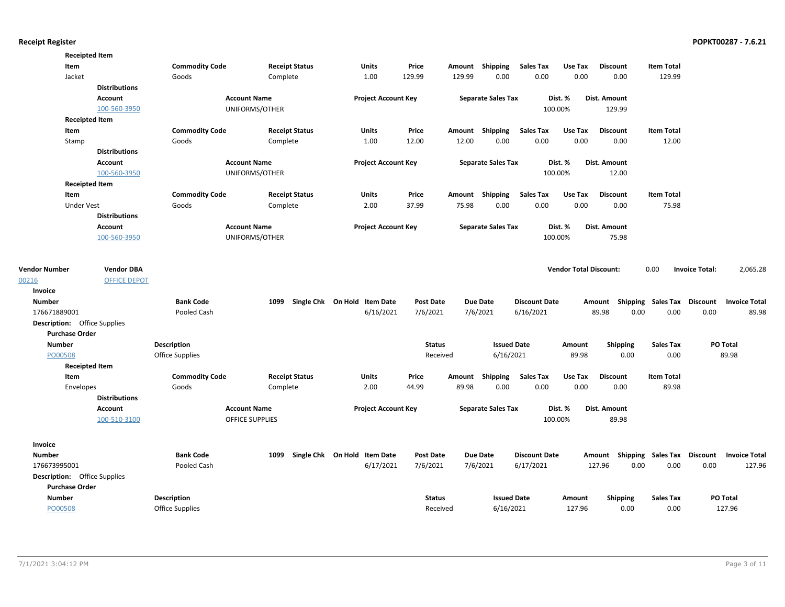|                                     | <b>Receipted Item</b> |                       |                        |                              |                  |        |                           |                      |                               |                     |                                    |                                   |
|-------------------------------------|-----------------------|-----------------------|------------------------|------------------------------|------------------|--------|---------------------------|----------------------|-------------------------------|---------------------|------------------------------------|-----------------------------------|
| Item                                |                       | <b>Commodity Code</b> | <b>Receipt Status</b>  | Units                        | Price            |        | Amount Shipping           | <b>Sales Tax</b>     | Use Tax                       | <b>Discount</b>     | <b>Item Total</b>                  |                                   |
| Jacket                              |                       | Goods                 | Complete               | 1.00                         | 129.99           | 129.99 | 0.00                      | 0.00                 | 0.00                          | 0.00                | 129.99                             |                                   |
|                                     | <b>Distributions</b>  |                       |                        |                              |                  |        |                           |                      |                               |                     |                                    |                                   |
|                                     | Account               |                       | <b>Account Name</b>    | <b>Project Account Key</b>   |                  |        | <b>Separate Sales Tax</b> |                      | Dist. %                       | <b>Dist. Amount</b> |                                    |                                   |
|                                     | 100-560-3950          |                       | UNIFORMS/OTHER         |                              |                  |        |                           |                      | 100.00%                       | 129.99              |                                    |                                   |
|                                     | <b>Receipted Item</b> |                       |                        |                              |                  |        |                           |                      |                               |                     |                                    |                                   |
| Item                                |                       | <b>Commodity Code</b> | <b>Receipt Status</b>  | <b>Units</b>                 | Price            |        | Amount Shipping           | <b>Sales Tax</b>     | Use Tax                       | <b>Discount</b>     | <b>Item Total</b>                  |                                   |
| Stamp                               |                       | Goods                 | Complete               | 1.00                         | 12.00            | 12.00  | 0.00                      | 0.00                 | 0.00                          | 0.00                | 12.00                              |                                   |
|                                     | <b>Distributions</b>  |                       |                        |                              |                  |        |                           |                      |                               |                     |                                    |                                   |
|                                     | <b>Account</b>        |                       | <b>Account Name</b>    | <b>Project Account Key</b>   |                  |        | <b>Separate Sales Tax</b> |                      | Dist. %                       | Dist. Amount        |                                    |                                   |
|                                     | 100-560-3950          |                       | UNIFORMS/OTHER         |                              |                  |        |                           |                      | 100.00%                       | 12.00               |                                    |                                   |
|                                     | <b>Receipted Item</b> |                       |                        |                              |                  |        |                           |                      |                               |                     |                                    |                                   |
| Item                                |                       | <b>Commodity Code</b> | <b>Receipt Status</b>  | <b>Units</b>                 | Price            |        | Amount Shipping           | <b>Sales Tax</b>     | Use Tax                       | <b>Discount</b>     | <b>Item Total</b>                  |                                   |
| <b>Under Vest</b>                   |                       | Goods                 | Complete               | 2.00                         | 37.99            | 75.98  | 0.00                      | 0.00                 | 0.00                          | 0.00                | 75.98                              |                                   |
|                                     | <b>Distributions</b>  |                       |                        |                              |                  |        |                           |                      |                               |                     |                                    |                                   |
|                                     | <b>Account</b>        |                       | <b>Account Name</b>    | <b>Project Account Key</b>   |                  |        | <b>Separate Sales Tax</b> |                      | Dist. %                       | Dist. Amount        |                                    |                                   |
|                                     | 100-560-3950          |                       | UNIFORMS/OTHER         |                              |                  |        |                           |                      | 100.00%                       | 75.98               |                                    |                                   |
| <b>Vendor Number</b>                | <b>Vendor DBA</b>     |                       |                        |                              |                  |        |                           |                      | <b>Vendor Total Discount:</b> |                     | 0.00                               | 2,065.28<br><b>Invoice Total:</b> |
| 00216                               | <b>OFFICE DEPOT</b>   |                       |                        |                              |                  |        |                           |                      |                               |                     |                                    |                                   |
| Invoice                             |                       |                       |                        |                              |                  |        |                           |                      |                               |                     |                                    |                                   |
| <b>Number</b>                       |                       | <b>Bank Code</b>      | 1099                   | Single Chk On Hold Item Date | <b>Post Date</b> |        | <b>Due Date</b>           | <b>Discount Date</b> |                               |                     | Amount Shipping Sales Tax Discount | <b>Invoice Total</b>              |
| 176671889001                        |                       | Pooled Cash           |                        | 6/16/2021                    | 7/6/2021         |        | 7/6/2021                  | 6/16/2021            |                               | 89.98               | 0.00<br>0.00                       | 0.00<br>89.98                     |
| <b>Description:</b> Office Supplies |                       |                       |                        |                              |                  |        |                           |                      |                               |                     |                                    |                                   |
| <b>Purchase Order</b>               |                       |                       |                        |                              |                  |        |                           |                      |                               |                     |                                    |                                   |
| <b>Number</b>                       |                       | <b>Description</b>    |                        |                              | <b>Status</b>    |        | <b>Issued Date</b>        |                      | Amount                        | <b>Shipping</b>     | <b>Sales Tax</b>                   | PO Total                          |
| PO00508                             |                       | Office Supplies       |                        |                              | Received         |        | 6/16/2021                 |                      | 89.98                         | 0.00                | 0.00                               | 89.98                             |
|                                     | <b>Receipted Item</b> |                       |                        |                              |                  |        |                           |                      |                               |                     |                                    |                                   |
| Item                                |                       | <b>Commodity Code</b> | <b>Receipt Status</b>  | <b>Units</b>                 | Price            |        | Amount Shipping           | <b>Sales Tax</b>     | Use Tax                       | <b>Discount</b>     | <b>Item Total</b>                  |                                   |
| Envelopes                           |                       | Goods                 | Complete               | 2.00                         | 44.99            | 89.98  | 0.00                      | 0.00                 | 0.00                          | 0.00                | 89.98                              |                                   |
|                                     | <b>Distributions</b>  |                       |                        |                              |                  |        |                           |                      |                               |                     |                                    |                                   |
|                                     | Account               |                       | <b>Account Name</b>    | <b>Project Account Key</b>   |                  |        | <b>Separate Sales Tax</b> |                      | Dist. %                       | Dist. Amount        |                                    |                                   |
|                                     | 100-510-3100          |                       | <b>OFFICE SUPPLIES</b> |                              |                  |        |                           |                      | 100.00%                       | 89.98               |                                    |                                   |
|                                     |                       |                       |                        |                              |                  |        |                           |                      |                               |                     |                                    |                                   |
| Invoice                             |                       |                       |                        |                              |                  |        |                           |                      |                               |                     |                                    |                                   |
| <b>Number</b>                       |                       | <b>Bank Code</b>      | 1099                   | Single Chk On Hold Item Date | <b>Post Date</b> |        | <b>Due Date</b>           | <b>Discount Date</b> |                               |                     | Amount Shipping Sales Tax Discount | <b>Invoice Total</b>              |
| 176673995001                        |                       | Pooled Cash           |                        | 6/17/2021                    | 7/6/2021         |        | 7/6/2021                  | 6/17/2021            |                               | 127.96              | 0.00<br>0.00                       | 0.00<br>127.96                    |
| <b>Description:</b> Office Supplies |                       |                       |                        |                              |                  |        |                           |                      |                               |                     |                                    |                                   |
| <b>Purchase Order</b>               |                       |                       |                        |                              |                  |        |                           |                      |                               |                     |                                    |                                   |
| <b>Number</b>                       |                       | <b>Description</b>    |                        |                              | <b>Status</b>    |        | <b>Issued Date</b>        |                      | Amount                        | <b>Shipping</b>     | <b>Sales Tax</b>                   | PO Total                          |
| PO00508                             |                       | Office Supplies       |                        |                              | Received         |        | 6/16/2021                 |                      | 127.96                        | 0.00                | 0.00                               | 127.96                            |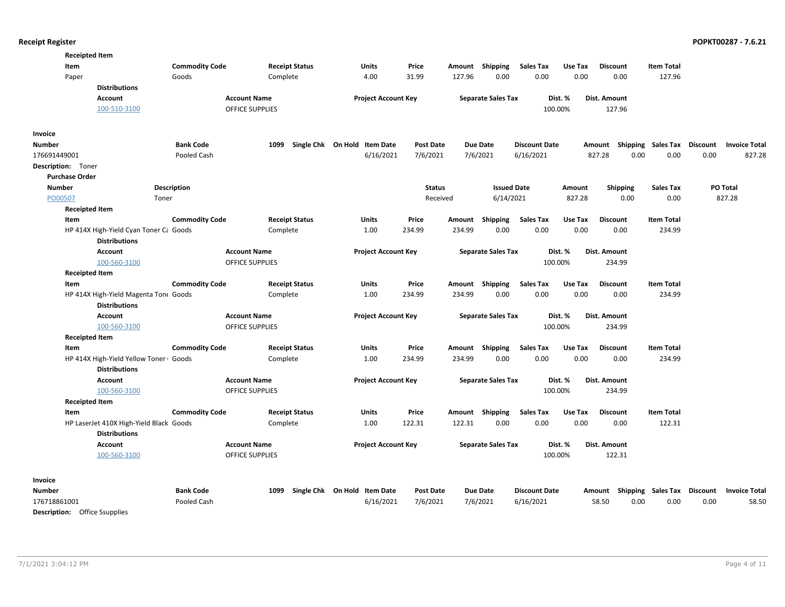| <b>Receipted Item</b>                |                                         |                       |                        |                       |                                   |                  |        |                           |                      |         |                 |                                    |                 |                      |
|--------------------------------------|-----------------------------------------|-----------------------|------------------------|-----------------------|-----------------------------------|------------------|--------|---------------------------|----------------------|---------|-----------------|------------------------------------|-----------------|----------------------|
| Item                                 |                                         | <b>Commodity Code</b> |                        | <b>Receipt Status</b> | <b>Units</b>                      | Price            |        | Amount Shipping           | <b>Sales Tax</b>     | Use Tax | <b>Discount</b> | <b>Item Total</b>                  |                 |                      |
| Paper                                |                                         | Goods                 |                        | Complete              | 4.00                              | 31.99            | 127.96 | 0.00                      | 0.00                 | 0.00    | 0.00            | 127.96                             |                 |                      |
|                                      | <b>Distributions</b>                    |                       |                        |                       |                                   |                  |        |                           |                      |         |                 |                                    |                 |                      |
|                                      | <b>Account</b>                          |                       | <b>Account Name</b>    |                       | <b>Project Account Key</b>        |                  |        | <b>Separate Sales Tax</b> |                      | Dist. % | Dist. Amount    |                                    |                 |                      |
|                                      | 100-510-3100                            |                       | <b>OFFICE SUPPLIES</b> |                       |                                   |                  |        |                           |                      | 100.00% | 127.96          |                                    |                 |                      |
|                                      |                                         |                       |                        |                       |                                   |                  |        |                           |                      |         |                 |                                    |                 |                      |
| Invoice                              |                                         |                       |                        |                       |                                   |                  |        |                           |                      |         |                 |                                    |                 |                      |
| <b>Number</b>                        |                                         | <b>Bank Code</b>      | 1099                   |                       | Single Chk On Hold Item Date      | <b>Post Date</b> |        | <b>Due Date</b>           | <b>Discount Date</b> |         |                 | Amount Shipping Sales Tax          | <b>Discount</b> | <b>Invoice Total</b> |
| 176691449001                         |                                         | Pooled Cash           |                        |                       | 6/16/2021                         | 7/6/2021         |        | 7/6/2021                  | 6/16/2021            |         | 827.28          | 0.00<br>0.00                       | 0.00            | 827.28               |
| <b>Description:</b> Toner            |                                         |                       |                        |                       |                                   |                  |        |                           |                      |         |                 |                                    |                 |                      |
| <b>Purchase Order</b>                |                                         |                       |                        |                       |                                   |                  |        |                           |                      |         |                 |                                    |                 |                      |
| <b>Number</b>                        |                                         | <b>Description</b>    |                        |                       |                                   | <b>Status</b>    |        | <b>Issued Date</b>        |                      | Amount  | <b>Shipping</b> | <b>Sales Tax</b>                   |                 | PO Total             |
| PO00507                              | Toner                                   |                       |                        |                       |                                   | Received         |        | 6/14/2021                 |                      | 827.28  | 0.00            | 0.00                               |                 | 827.28               |
| <b>Receipted Item</b>                |                                         |                       |                        |                       |                                   |                  |        |                           |                      |         |                 |                                    |                 |                      |
| Item                                 |                                         | <b>Commodity Code</b> |                        | <b>Receipt Status</b> | <b>Units</b>                      | Price            | Amount | <b>Shipping</b>           | <b>Sales Tax</b>     | Use Tax | <b>Discount</b> | <b>Item Total</b>                  |                 |                      |
|                                      | HP 414X High-Yield Cyan Toner Ca Goods  |                       |                        | Complete              | 1.00                              | 234.99           | 234.99 | 0.00                      | 0.00                 | 0.00    | 0.00            | 234.99                             |                 |                      |
|                                      | <b>Distributions</b>                    |                       |                        |                       |                                   |                  |        |                           |                      |         |                 |                                    |                 |                      |
|                                      | <b>Account</b>                          |                       | <b>Account Name</b>    |                       | <b>Project Account Key</b>        |                  |        | <b>Separate Sales Tax</b> |                      | Dist. % | Dist. Amount    |                                    |                 |                      |
|                                      | 100-560-3100                            |                       | <b>OFFICE SUPPLIES</b> |                       |                                   |                  |        |                           |                      | 100.00% | 234.99          |                                    |                 |                      |
| <b>Receipted Item</b>                |                                         |                       |                        |                       |                                   |                  |        |                           |                      |         |                 |                                    |                 |                      |
| Item                                 |                                         | <b>Commodity Code</b> |                        | <b>Receipt Status</b> | <b>Units</b>                      | Price            |        | Amount Shipping           | <b>Sales Tax</b>     | Use Tax | <b>Discount</b> | <b>Item Total</b>                  |                 |                      |
|                                      | HP 414X High-Yield Magenta Tone Goods   |                       |                        | Complete              | 1.00                              | 234.99           | 234.99 | 0.00                      | 0.00                 | 0.00    | 0.00            | 234.99                             |                 |                      |
|                                      | <b>Distributions</b>                    |                       |                        |                       |                                   |                  |        |                           |                      |         |                 |                                    |                 |                      |
|                                      | Account                                 |                       | <b>Account Name</b>    |                       | <b>Project Account Key</b>        |                  |        | <b>Separate Sales Tax</b> |                      | Dist. % | Dist. Amount    |                                    |                 |                      |
|                                      | 100-560-3100                            |                       | <b>OFFICE SUPPLIES</b> |                       |                                   |                  |        |                           |                      | 100.00% | 234.99          |                                    |                 |                      |
| <b>Receipted Item</b>                |                                         |                       |                        |                       |                                   |                  |        |                           |                      |         |                 |                                    |                 |                      |
| Item                                 |                                         | <b>Commodity Code</b> |                        | <b>Receipt Status</b> | <b>Units</b>                      | Price            | Amount | Shipping                  | <b>Sales Tax</b>     | Use Tax | <b>Discount</b> | <b>Item Total</b>                  |                 |                      |
|                                      | HP 414X High-Yield Yellow Toner Goods   |                       |                        | Complete              | 1.00                              | 234.99           | 234.99 | 0.00                      | 0.00                 | 0.00    | 0.00            | 234.99                             |                 |                      |
|                                      | <b>Distributions</b>                    |                       |                        |                       |                                   |                  |        |                           |                      |         |                 |                                    |                 |                      |
|                                      | Account                                 |                       | <b>Account Name</b>    |                       | <b>Project Account Key</b>        |                  |        | <b>Separate Sales Tax</b> |                      | Dist. % | Dist. Amount    |                                    |                 |                      |
|                                      | 100-560-3100                            |                       | <b>OFFICE SUPPLIES</b> |                       |                                   |                  |        |                           |                      | 100.00% | 234.99          |                                    |                 |                      |
| <b>Receipted Item</b>                |                                         |                       |                        |                       |                                   |                  |        |                           |                      |         |                 |                                    |                 |                      |
| Item                                 |                                         | <b>Commodity Code</b> |                        | <b>Receipt Status</b> | Units                             | Price            | Amount | <b>Shipping</b>           | <b>Sales Tax</b>     | Use Tax | <b>Discount</b> | <b>Item Total</b>                  |                 |                      |
|                                      | HP LaserJet 410X High-Yield Black Goods |                       |                        | Complete              | 1.00                              | 122.31           | 122.31 | 0.00                      | 0.00                 | 0.00    | 0.00            | 122.31                             |                 |                      |
|                                      | <b>Distributions</b>                    |                       |                        |                       |                                   |                  |        |                           |                      |         |                 |                                    |                 |                      |
|                                      | <b>Account</b>                          |                       | <b>Account Name</b>    |                       | <b>Project Account Key</b>        |                  |        | <b>Separate Sales Tax</b> |                      | Dist. % | Dist. Amount    |                                    |                 |                      |
|                                      | 100-560-3100                            |                       | <b>OFFICE SUPPLIES</b> |                       |                                   |                  |        |                           |                      | 100.00% | 122.31          |                                    |                 |                      |
|                                      |                                         |                       |                        |                       |                                   |                  |        |                           |                      |         |                 |                                    |                 |                      |
| Invoice                              |                                         |                       |                        |                       |                                   |                  |        |                           |                      |         |                 |                                    |                 |                      |
| <b>Number</b>                        |                                         | <b>Bank Code</b>      |                        |                       | 1099 Single Chk On Hold Item Date | <b>Post Date</b> |        | <b>Due Date</b>           | <b>Discount Date</b> |         |                 | Amount Shipping Sales Tax Discount |                 | <b>Invoice Total</b> |
| 176718861001                         |                                         | Pooled Cash           |                        |                       | 6/16/2021                         | 7/6/2021         |        | 7/6/2021                  | 6/16/2021            |         | 58.50           | 0.00<br>0.00                       | 0.00            | 58.50                |
| <b>Description:</b> Office Ssupplies |                                         |                       |                        |                       |                                   |                  |        |                           |                      |         |                 |                                    |                 |                      |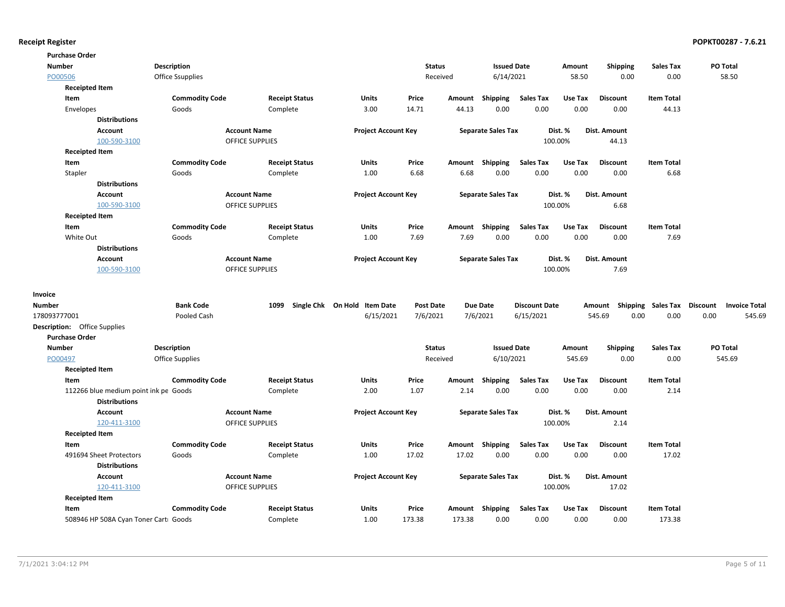| <b>Purchase Order</b>                 |                         |                        |                              |                  |          |                           |                      |         |                 |                           |                                  |
|---------------------------------------|-------------------------|------------------------|------------------------------|------------------|----------|---------------------------|----------------------|---------|-----------------|---------------------------|----------------------------------|
| <b>Number</b>                         | <b>Description</b>      |                        |                              | <b>Status</b>    |          | <b>Issued Date</b>        |                      | Amount  | <b>Shipping</b> | <b>Sales Tax</b>          | PO Total                         |
| PO00506                               | <b>Office Ssupplies</b> |                        |                              |                  | Received | 6/14/2021                 |                      | 58.50   | 0.00            | 0.00                      | 58.50                            |
| <b>Receipted Item</b>                 |                         |                        |                              |                  |          |                           |                      |         |                 |                           |                                  |
| Item                                  | <b>Commodity Code</b>   | <b>Receipt Status</b>  | Units                        | Price            | Amount   | <b>Shipping</b>           | <b>Sales Tax</b>     | Use Tax | <b>Discount</b> | <b>Item Total</b>         |                                  |
| Envelopes                             | Goods                   | Complete               | 3.00                         | 14.71            | 44.13    | 0.00                      | 0.00                 | 0.00    | 0.00            | 44.13                     |                                  |
| <b>Distributions</b>                  |                         |                        |                              |                  |          |                           |                      |         |                 |                           |                                  |
| Account                               |                         | <b>Account Name</b>    | <b>Project Account Key</b>   |                  |          | <b>Separate Sales Tax</b> |                      | Dist. % | Dist. Amount    |                           |                                  |
| 100-590-3100                          |                         | <b>OFFICE SUPPLIES</b> |                              |                  |          |                           |                      | 100.00% | 44.13           |                           |                                  |
| <b>Receipted Item</b>                 |                         |                        |                              |                  |          |                           |                      |         |                 |                           |                                  |
| Item                                  | <b>Commodity Code</b>   | <b>Receipt Status</b>  | Units                        | Price            | Amount   | <b>Shipping</b>           | <b>Sales Tax</b>     | Use Tax | <b>Discount</b> | <b>Item Total</b>         |                                  |
| Stapler                               | Goods                   | Complete               | 1.00                         | 6.68             | 6.68     | 0.00                      | 0.00                 | 0.00    | 0.00            | 6.68                      |                                  |
| <b>Distributions</b>                  |                         |                        |                              |                  |          |                           |                      |         |                 |                           |                                  |
| Account                               |                         | <b>Account Name</b>    | <b>Project Account Key</b>   |                  |          | <b>Separate Sales Tax</b> |                      | Dist. % | Dist. Amount    |                           |                                  |
| 100-590-3100                          |                         | <b>OFFICE SUPPLIES</b> |                              |                  |          |                           |                      | 100.00% | 6.68            |                           |                                  |
| <b>Receipted Item</b>                 |                         |                        |                              |                  |          |                           |                      |         |                 |                           |                                  |
| Item                                  | <b>Commodity Code</b>   | <b>Receipt Status</b>  | Units                        | Price            |          | Amount Shipping           | <b>Sales Tax</b>     | Use Tax | <b>Discount</b> | <b>Item Total</b>         |                                  |
| White Out                             | Goods                   | Complete               | 1.00                         | 7.69             | 7.69     | 0.00                      | 0.00                 | 0.00    | 0.00            | 7.69                      |                                  |
| <b>Distributions</b>                  |                         |                        |                              |                  |          |                           |                      |         |                 |                           |                                  |
| Account                               |                         | <b>Account Name</b>    | <b>Project Account Key</b>   |                  |          | <b>Separate Sales Tax</b> |                      | Dist. % | Dist. Amount    |                           |                                  |
| 100-590-3100                          |                         | <b>OFFICE SUPPLIES</b> |                              |                  |          |                           |                      | 100.00% | 7.69            |                           |                                  |
|                                       |                         |                        |                              |                  |          |                           |                      |         |                 |                           |                                  |
| Invoice                               |                         |                        |                              |                  |          |                           |                      |         |                 |                           |                                  |
| <b>Number</b>                         | <b>Bank Code</b>        | 1099                   | Single Chk On Hold Item Date | <b>Post Date</b> |          | <b>Due Date</b>           | <b>Discount Date</b> |         |                 | Amount Shipping Sales Tax | Discount<br><b>Invoice Total</b> |
| 178093777001                          | Pooled Cash             |                        | 6/15/2021                    | 7/6/2021         |          | 7/6/2021                  | 6/15/2021            |         | 545.69<br>0.00  | 0.00                      | 0.00<br>545.69                   |
| <b>Description:</b> Office Supplies   |                         |                        |                              |                  |          |                           |                      |         |                 |                           |                                  |
| <b>Purchase Order</b>                 |                         |                        |                              |                  |          |                           |                      |         |                 |                           |                                  |
| <b>Number</b>                         | <b>Description</b>      |                        |                              | <b>Status</b>    |          | <b>Issued Date</b>        |                      | Amount  | <b>Shipping</b> | <b>Sales Tax</b>          | PO Total                         |
| PO00497                               | Office Supplies         |                        |                              |                  | Received | 6/10/2021                 |                      | 545.69  | 0.00            | 0.00                      | 545.69                           |
| <b>Receipted Item</b>                 |                         |                        |                              |                  |          |                           |                      |         |                 |                           |                                  |
| Item                                  | <b>Commodity Code</b>   | <b>Receipt Status</b>  | Units                        | Price            | Amount   | Shipping                  | <b>Sales Tax</b>     | Use Tax | <b>Discount</b> | <b>Item Total</b>         |                                  |
| 112266 blue medium point ink pe Goods |                         | Complete               | 2.00                         | 1.07             | 2.14     | 0.00                      | 0.00                 | 0.00    | 0.00            | 2.14                      |                                  |
| <b>Distributions</b>                  |                         |                        |                              |                  |          |                           |                      |         |                 |                           |                                  |
| Account                               |                         | <b>Account Name</b>    | <b>Project Account Key</b>   |                  |          | <b>Separate Sales Tax</b> |                      | Dist. % | Dist. Amount    |                           |                                  |
| 120-411-3100                          |                         | OFFICE SUPPLIES        |                              |                  |          |                           |                      | 100.00% | 2.14            |                           |                                  |
| <b>Receipted Item</b>                 |                         |                        |                              |                  |          |                           |                      |         |                 |                           |                                  |
| Item                                  | <b>Commodity Code</b>   | <b>Receipt Status</b>  | Units                        | Price            | Amount   | Shipping                  | <b>Sales Tax</b>     | Use Tax | <b>Discount</b> | <b>Item Total</b>         |                                  |
| 491694 Sheet Protectors               | Goods                   | Complete               | 1.00                         | 17.02            | 17.02    | 0.00                      | 0.00                 | 0.00    | 0.00            | 17.02                     |                                  |
| <b>Distributions</b>                  |                         |                        |                              |                  |          |                           |                      |         |                 |                           |                                  |
| Account                               |                         | <b>Account Name</b>    | <b>Project Account Key</b>   |                  |          | <b>Separate Sales Tax</b> |                      | Dist. % | Dist. Amount    |                           |                                  |
| 120-411-3100                          |                         | <b>OFFICE SUPPLIES</b> |                              |                  |          |                           |                      | 100.00% | 17.02           |                           |                                  |
| <b>Receipted Item</b>                 |                         |                        |                              |                  |          |                           |                      |         |                 |                           |                                  |
| Item                                  | <b>Commodity Code</b>   | <b>Receipt Status</b>  | Units                        | Price            | Amount   | Shipping                  | <b>Sales Tax</b>     | Use Tax | <b>Discount</b> | <b>Item Total</b>         |                                  |
| 508946 HP 508A Cyan Toner Carti Goods |                         | Complete               | 1.00                         | 173.38           | 173.38   | 0.00                      | 0.00                 | 0.00    | 0.00            | 173.38                    |                                  |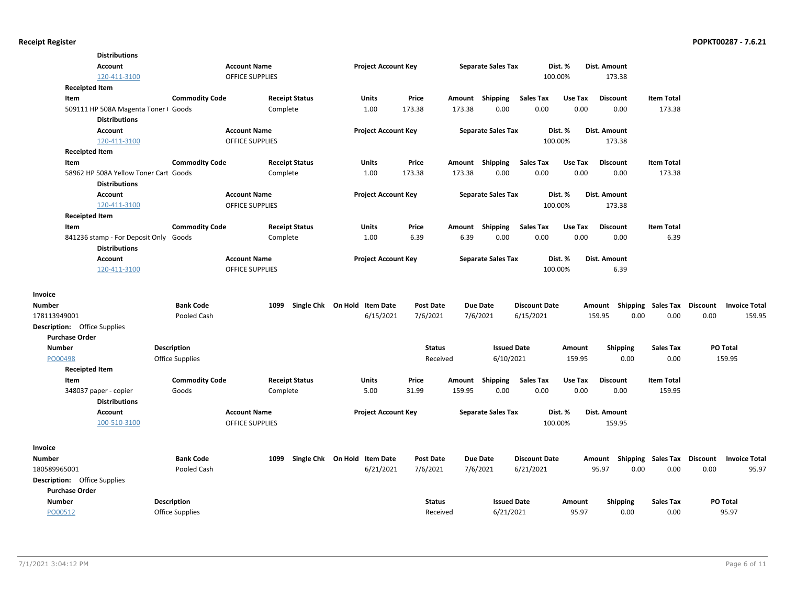| <b>Distributions</b>                  |                        |                        |                              |                  |          |                           |                      |         |                           |                    |                 |                      |
|---------------------------------------|------------------------|------------------------|------------------------------|------------------|----------|---------------------------|----------------------|---------|---------------------------|--------------------|-----------------|----------------------|
| <b>Account</b>                        |                        | <b>Account Name</b>    | <b>Project Account Key</b>   |                  |          | <b>Separate Sales Tax</b> |                      | Dist. % | Dist. Amount              |                    |                 |                      |
| 120-411-3100                          |                        | <b>OFFICE SUPPLIES</b> |                              |                  |          |                           |                      | 100.00% | 173.38                    |                    |                 |                      |
| <b>Receipted Item</b>                 |                        |                        |                              |                  |          |                           |                      |         |                           |                    |                 |                      |
| Item                                  | <b>Commodity Code</b>  | <b>Receipt Status</b>  | Units                        | Price            |          | Amount Shipping           | <b>Sales Tax</b>     | Use Tax | <b>Discount</b>           | <b>Item Total</b>  |                 |                      |
| 509111 HP 508A Magenta Toner I Goods  |                        | Complete               | 1.00                         | 173.38           | 173.38   | 0.00                      | 0.00                 | 0.00    | 0.00                      | 173.38             |                 |                      |
| <b>Distributions</b>                  |                        |                        |                              |                  |          |                           |                      |         |                           |                    |                 |                      |
| <b>Account</b>                        |                        | <b>Account Name</b>    | <b>Project Account Key</b>   |                  |          | <b>Separate Sales Tax</b> |                      | Dist. % | Dist. Amount              |                    |                 |                      |
| 120-411-3100                          |                        | <b>OFFICE SUPPLIES</b> |                              |                  |          |                           |                      | 100.00% | 173.38                    |                    |                 |                      |
| <b>Receipted Item</b>                 |                        |                        |                              |                  |          |                           |                      |         |                           |                    |                 |                      |
| Item                                  | <b>Commodity Code</b>  | <b>Receipt Status</b>  | Units                        | Price            |          | Amount Shipping           | Sales Tax            | Use Tax | <b>Discount</b>           | <b>Item Total</b>  |                 |                      |
| 58962 HP 508A Yellow Toner Cart Goods |                        | Complete               | 1.00                         | 173.38           | 173.38   | 0.00                      | 0.00                 | 0.00    | 0.00                      | 173.38             |                 |                      |
| <b>Distributions</b>                  |                        |                        |                              |                  |          |                           |                      |         |                           |                    |                 |                      |
| <b>Account</b>                        |                        | <b>Account Name</b>    | <b>Project Account Key</b>   |                  |          | <b>Separate Sales Tax</b> |                      | Dist. % | <b>Dist. Amount</b>       |                    |                 |                      |
| 120-411-3100                          |                        | <b>OFFICE SUPPLIES</b> |                              |                  |          |                           |                      | 100.00% | 173.38                    |                    |                 |                      |
| <b>Receipted Item</b>                 |                        |                        |                              |                  |          |                           |                      |         |                           |                    |                 |                      |
| Item                                  | <b>Commodity Code</b>  | <b>Receipt Status</b>  | <b>Units</b>                 | Price            | Amount   | Shipping                  | <b>Sales Tax</b>     | Use Tax | <b>Discount</b>           | <b>Item Total</b>  |                 |                      |
| 841236 stamp - For Deposit Only Goods |                        | Complete               | 1.00                         | 6.39             | 6.39     | 0.00                      | 0.00                 | 0.00    | 0.00                      | 6.39               |                 |                      |
| <b>Distributions</b>                  |                        |                        |                              |                  |          |                           |                      |         |                           |                    |                 |                      |
| Account                               |                        | <b>Account Name</b>    | <b>Project Account Key</b>   |                  |          | <b>Separate Sales Tax</b> |                      | Dist. % | Dist. Amount              |                    |                 |                      |
| 120-411-3100                          |                        | OFFICE SUPPLIES        |                              |                  |          |                           |                      | 100.00% | 6.39                      |                    |                 |                      |
|                                       |                        |                        |                              |                  |          |                           |                      |         |                           |                    |                 |                      |
| Invoice                               |                        |                        |                              |                  |          |                           |                      |         |                           |                    |                 |                      |
| Number                                | <b>Bank Code</b>       | 1099                   | Single Chk On Hold Item Date | Post Date        |          | <b>Due Date</b>           | <b>Discount Date</b> |         | Shipping<br>Amount        | Sales Tax Discount |                 | <b>Invoice Total</b> |
| 178113949001                          | Pooled Cash            |                        | 6/15/2021                    | 7/6/2021         |          | 7/6/2021                  | 6/15/2021            |         | 159.95<br>0.00            | 0.00               | 0.00            | 159.95               |
| <b>Description:</b> Office Supplies   |                        |                        |                              |                  |          |                           |                      |         |                           |                    |                 |                      |
| <b>Purchase Order</b>                 |                        |                        |                              |                  |          |                           |                      |         |                           |                    |                 |                      |
| <b>Number</b>                         | <b>Description</b>     |                        |                              | <b>Status</b>    |          | <b>Issued Date</b>        |                      | Amount  | <b>Shipping</b>           | <b>Sales Tax</b>   | PO Total        |                      |
| PO00498                               | <b>Office Supplies</b> |                        |                              | Received         |          | 6/10/2021                 |                      | 159.95  | 0.00                      | 0.00               | 159.95          |                      |
| <b>Receipted Item</b>                 |                        |                        |                              |                  |          |                           |                      |         |                           |                    |                 |                      |
| Item                                  | <b>Commodity Code</b>  | <b>Receipt Status</b>  | Units                        | Price            | Amount   | Shipping                  | Sales Tax            | Use Tax | <b>Discount</b>           | <b>Item Total</b>  |                 |                      |
| 348037 paper - copier                 | Goods                  | Complete               | 5.00                         | 31.99            | 159.95   | 0.00                      | 0.00                 | 0.00    | 0.00                      | 159.95             |                 |                      |
| <b>Distributions</b>                  |                        |                        |                              |                  |          |                           |                      |         |                           |                    |                 |                      |
| Account                               |                        | <b>Account Name</b>    | <b>Project Account Key</b>   |                  |          | <b>Separate Sales Tax</b> |                      | Dist. % | Dist. Amount              |                    |                 |                      |
| 100-510-3100                          |                        | <b>OFFICE SUPPLIES</b> |                              |                  |          |                           |                      | 100.00% | 159.95                    |                    |                 |                      |
|                                       |                        |                        |                              |                  |          |                           |                      |         |                           |                    |                 |                      |
| Invoice                               |                        |                        |                              |                  |          |                           |                      |         |                           |                    |                 |                      |
| <b>Number</b>                         | <b>Bank Code</b>       | 1099                   | Single Chk On Hold Item Date | <b>Post Date</b> |          | <b>Due Date</b>           | <b>Discount Date</b> |         | Amount Shipping Sales Tax |                    | <b>Discount</b> | <b>Invoice Total</b> |
| 180589965001                          | Pooled Cash            |                        | 6/21/2021                    | 7/6/2021         | 7/6/2021 |                           | 6/21/2021            |         | 95.97<br>0.00             | 0.00               | 0.00            | 95.97                |
| <b>Description:</b> Office Supplies   |                        |                        |                              |                  |          |                           |                      |         |                           |                    |                 |                      |
| <b>Purchase Order</b>                 |                        |                        |                              |                  |          |                           |                      |         |                           |                    |                 |                      |
| <b>Number</b>                         | <b>Description</b>     |                        |                              | <b>Status</b>    |          | <b>Issued Date</b>        |                      | Amount  | <b>Shipping</b>           | <b>Sales Tax</b>   | PO Total        |                      |
| PO00512                               | <b>Office Supplies</b> |                        |                              | Received         |          | 6/21/2021                 |                      | 95.97   | 0.00                      | 0.00               | 95.97           |                      |
|                                       |                        |                        |                              |                  |          |                           |                      |         |                           |                    |                 |                      |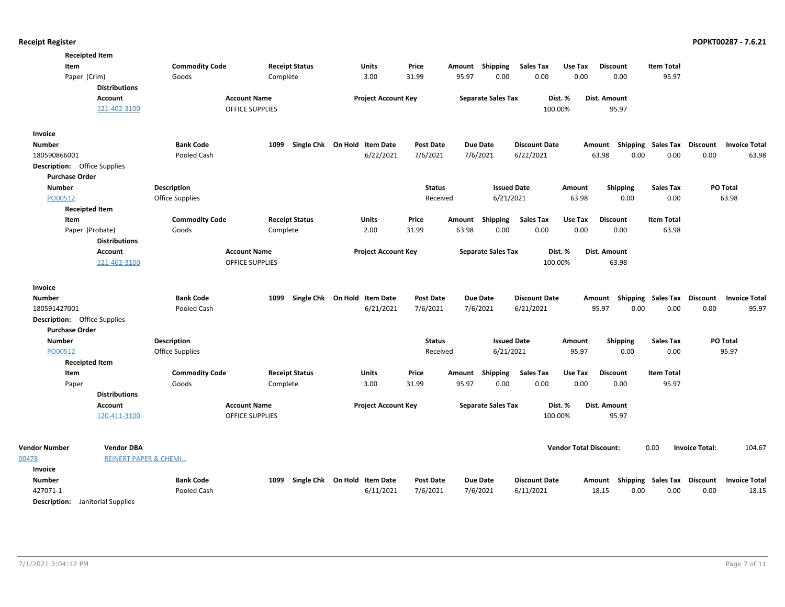| <b>Receipted Item</b>                      |                                  |                        |                              |                  |                           |                      |                               |                                    |                   |                                                  |
|--------------------------------------------|----------------------------------|------------------------|------------------------------|------------------|---------------------------|----------------------|-------------------------------|------------------------------------|-------------------|--------------------------------------------------|
| Item                                       | <b>Commodity Code</b>            | <b>Receipt Status</b>  | <b>Units</b>                 | Price            | Shipping<br>Amount        | <b>Sales Tax</b>     | Use Tax                       | <b>Discount</b>                    | <b>Item Total</b> |                                                  |
| Paper (Crim)                               | Goods                            | Complete               | 3.00                         | 31.99            | 95.97<br>0.00             | 0.00                 | 0.00                          | 0.00                               | 95.97             |                                                  |
| <b>Distributions</b>                       |                                  |                        |                              |                  |                           |                      |                               |                                    |                   |                                                  |
| <b>Account</b>                             |                                  | <b>Account Name</b>    | <b>Project Account Key</b>   |                  | <b>Separate Sales Tax</b> |                      | Dist. %                       | Dist. Amount                       |                   |                                                  |
| 121-402-3100                               |                                  | <b>OFFICE SUPPLIES</b> |                              |                  |                           |                      | 100.00%                       | 95.97                              |                   |                                                  |
| <b>Invoice</b>                             |                                  |                        |                              |                  |                           |                      |                               |                                    |                   |                                                  |
| <b>Number</b>                              | <b>Bank Code</b>                 | 1099                   | Single Chk On Hold Item Date | <b>Post Date</b> | Due Date                  | <b>Discount Date</b> |                               | Amount Shipping Sales Tax Discount |                   | <b>Invoice Total</b>                             |
| 180590866001                               | Pooled Cash                      |                        | 6/22/2021                    | 7/6/2021         | 7/6/2021                  | 6/22/2021            |                               | 63.98<br>0.00                      | 0.00              | 0.00<br>63.98                                    |
| <b>Description:</b> Office Supplies        |                                  |                        |                              |                  |                           |                      |                               |                                    |                   |                                                  |
| <b>Purchase Order</b>                      |                                  |                        |                              |                  |                           |                      |                               |                                    |                   |                                                  |
| <b>Number</b>                              | <b>Description</b>               |                        |                              | <b>Status</b>    |                           | <b>Issued Date</b>   | Amount                        | <b>Shipping</b>                    | Sales Tax         | PO Total                                         |
| PO00512                                    | Office Supplies                  |                        |                              | Received         | 6/21/2021                 |                      | 63.98                         | 0.00                               | 0.00              | 63.98                                            |
| <b>Receipted Item</b>                      |                                  |                        |                              |                  |                           |                      |                               |                                    |                   |                                                  |
| Item                                       | <b>Commodity Code</b>            | <b>Receipt Status</b>  | Units                        | Price            | Amount Shipping           | <b>Sales Tax</b>     | Use Tax                       | <b>Discount</b>                    | Item Total        |                                                  |
| Paper )Probate)                            | Goods                            | Complete               | 2.00                         | 31.99            | 0.00<br>63.98             | 0.00                 | 0.00                          | 0.00                               | 63.98             |                                                  |
| <b>Distributions</b>                       |                                  |                        |                              |                  |                           |                      |                               |                                    |                   |                                                  |
| <b>Account</b>                             |                                  | <b>Account Name</b>    | <b>Project Account Key</b>   |                  | <b>Separate Sales Tax</b> |                      | Dist. %                       | Dist. Amount                       |                   |                                                  |
| 121-402-3100                               |                                  | <b>OFFICE SUPPLIES</b> |                              |                  |                           |                      | 100.00%                       | 63.98                              |                   |                                                  |
|                                            |                                  |                        |                              |                  |                           |                      |                               |                                    |                   |                                                  |
| Invoice                                    |                                  |                        |                              |                  |                           |                      |                               |                                    |                   |                                                  |
| <b>Number</b>                              | <b>Bank Code</b>                 | 1099                   | Single Chk On Hold Item Date | <b>Post Date</b> | Due Date                  | <b>Discount Date</b> |                               |                                    |                   | Amount Shipping Sales Tax Discount Invoice Total |
| 180591427001                               | Pooled Cash                      |                        | 6/21/2021                    | 7/6/2021         | 7/6/2021                  | 6/21/2021            |                               | 95.97<br>0.00                      | 0.00              | 0.00<br>95.97                                    |
| <b>Description:</b> Office Supplies        |                                  |                        |                              |                  |                           |                      |                               |                                    |                   |                                                  |
| <b>Purchase Order</b>                      |                                  |                        |                              |                  |                           |                      |                               |                                    |                   |                                                  |
| <b>Number</b>                              | <b>Description</b>               |                        |                              | <b>Status</b>    |                           | <b>Issued Date</b>   | Amount                        | <b>Shipping</b>                    | <b>Sales Tax</b>  | PO Total                                         |
| PO00512                                    | Office Supplies                  |                        |                              | Received         | 6/21/2021                 |                      | 95.97                         | 0.00                               | 0.00              | 95.97                                            |
| <b>Receipted Item</b>                      |                                  |                        |                              |                  |                           |                      |                               |                                    |                   |                                                  |
| Item                                       | <b>Commodity Code</b>            | <b>Receipt Status</b>  | Units                        | Price            | Shipping<br>Amount        | <b>Sales Tax</b>     | Use Tax                       | <b>Discount</b>                    | <b>Item Total</b> |                                                  |
| Paper                                      | Goods                            | Complete               | 3.00                         | 31.99            | 95.97<br>0.00             | 0.00                 | 0.00                          | 0.00                               | 95.97             |                                                  |
| <b>Distributions</b>                       |                                  |                        |                              |                  |                           |                      |                               |                                    |                   |                                                  |
| <b>Account</b>                             |                                  | <b>Account Name</b>    | <b>Project Account Key</b>   |                  | <b>Separate Sales Tax</b> |                      | Dist. %                       | Dist. Amount                       |                   |                                                  |
| 120-411-3100                               |                                  | <b>OFFICE SUPPLIES</b> |                              |                  |                           |                      | 100.00%                       | 95.97                              |                   |                                                  |
|                                            |                                  |                        |                              |                  |                           |                      |                               |                                    |                   |                                                  |
| <b>Vendor Number</b><br><b>Vendor DBA</b>  |                                  |                        |                              |                  |                           |                      | <b>Vendor Total Discount:</b> |                                    | 0.00              | 104.67<br><b>Invoice Total:</b>                  |
| 00478                                      | <b>REINERT PAPER &amp; CHEMI</b> |                        |                              |                  |                           |                      |                               |                                    |                   |                                                  |
| Invoice                                    |                                  |                        |                              |                  |                           |                      |                               |                                    |                   |                                                  |
| <b>Number</b>                              | <b>Bank Code</b>                 | 1099                   | Single Chk On Hold Item Date | <b>Post Date</b> | Due Date                  | <b>Discount Date</b> |                               | Amount Shipping Sales Tax Discount |                   | <b>Invoice Total</b>                             |
| 427071-1                                   | Pooled Cash                      |                        | 6/11/2021                    | 7/6/2021         | 7/6/2021                  | 6/11/2021            |                               | 0.00<br>18.15                      | 0.00              | 0.00<br>18.15                                    |
| <b>Description:</b><br>Janitorial Supplies |                                  |                        |                              |                  |                           |                      |                               |                                    |                   |                                                  |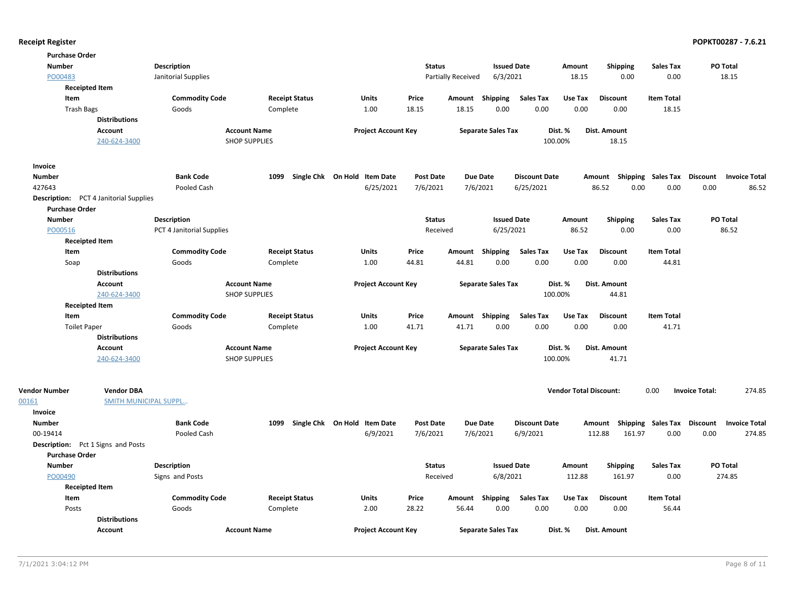| <b>Purchase Order</b>                         |                              |                           |                       |                              |                           |                           |                      |                               |                                    |                   |                       |                      |
|-----------------------------------------------|------------------------------|---------------------------|-----------------------|------------------------------|---------------------------|---------------------------|----------------------|-------------------------------|------------------------------------|-------------------|-----------------------|----------------------|
| <b>Number</b>                                 |                              | <b>Description</b>        |                       |                              | <b>Status</b>             | <b>Issued Date</b>        |                      | Amount                        | <b>Shipping</b>                    | <b>Sales Tax</b>  | PO Total              |                      |
| PO00483                                       |                              | Janitorial Supplies       |                       |                              | <b>Partially Received</b> | 6/3/2021                  |                      | 18.15                         | 0.00                               | 0.00              | 18.15                 |                      |
| <b>Receipted Item</b>                         |                              |                           |                       |                              |                           |                           |                      |                               |                                    |                   |                       |                      |
| Item                                          |                              | <b>Commodity Code</b>     | <b>Receipt Status</b> | Units                        | Price                     | Amount Shipping           | <b>Sales Tax</b>     | Use Tax                       | <b>Discount</b>                    | <b>Item Total</b> |                       |                      |
| <b>Trash Bags</b>                             |                              | Goods                     | Complete              | 1.00                         | 18.15                     | 18.15<br>0.00             | 0.00                 | 0.00                          | 0.00                               | 18.15             |                       |                      |
|                                               | <b>Distributions</b>         |                           |                       |                              |                           |                           |                      |                               |                                    |                   |                       |                      |
|                                               | Account                      |                           | <b>Account Name</b>   | <b>Project Account Key</b>   |                           | <b>Separate Sales Tax</b> |                      | Dist. %                       | Dist. Amount                       |                   |                       |                      |
|                                               | 240-624-3400                 |                           | <b>SHOP SUPPLIES</b>  |                              |                           |                           | 100.00%              |                               | 18.15                              |                   |                       |                      |
| Invoice                                       |                              |                           |                       |                              |                           |                           |                      |                               |                                    |                   |                       |                      |
| <b>Number</b>                                 |                              | <b>Bank Code</b>          | 1099                  | Single Chk On Hold Item Date | <b>Post Date</b>          | <b>Due Date</b>           | <b>Discount Date</b> |                               | Shipping<br>Amount                 | Sales Tax         | <b>Discount</b>       | <b>Invoice Total</b> |
| 427643                                        |                              | Pooled Cash               |                       | 6/25/2021                    | 7/6/2021                  | 7/6/2021                  | 6/25/2021            |                               | 86.52<br>0.00                      | 0.00              | 0.00                  | 86.52                |
| <b>Description:</b> PCT 4 Janitorial Supplies |                              |                           |                       |                              |                           |                           |                      |                               |                                    |                   |                       |                      |
| <b>Purchase Order</b>                         |                              |                           |                       |                              |                           |                           |                      |                               |                                    |                   |                       |                      |
| <b>Number</b>                                 |                              | <b>Description</b>        |                       |                              | <b>Status</b>             | <b>Issued Date</b>        |                      | Amount                        | <b>Shipping</b>                    | <b>Sales Tax</b>  | PO Total              |                      |
| PO00516                                       |                              | PCT 4 Janitorial Supplies |                       |                              | Received                  | 6/25/2021                 |                      | 86.52                         | 0.00                               | 0.00              | 86.52                 |                      |
| <b>Receipted Item</b>                         |                              |                           |                       |                              |                           |                           |                      |                               |                                    |                   |                       |                      |
| Item                                          |                              | <b>Commodity Code</b>     | <b>Receipt Status</b> | Units                        | Price<br>Amount           | <b>Shipping</b>           | <b>Sales Tax</b>     | Use Tax                       | <b>Discount</b>                    | <b>Item Total</b> |                       |                      |
| Soap                                          |                              | Goods                     | Complete              | 1.00                         | 44.81                     | 44.81<br>0.00             | 0.00                 | 0.00                          | 0.00                               | 44.81             |                       |                      |
|                                               | <b>Distributions</b>         |                           |                       |                              |                           |                           |                      |                               |                                    |                   |                       |                      |
|                                               | <b>Account</b>               |                           | <b>Account Name</b>   | <b>Project Account Key</b>   |                           | <b>Separate Sales Tax</b> |                      | Dist. %                       | <b>Dist. Amount</b>                |                   |                       |                      |
|                                               | 240-624-3400                 |                           | <b>SHOP SUPPLIES</b>  |                              |                           |                           | 100.00%              |                               | 44.81                              |                   |                       |                      |
| <b>Receipted Item</b>                         |                              |                           |                       |                              |                           |                           |                      |                               |                                    |                   |                       |                      |
| Item                                          |                              | <b>Commodity Code</b>     | <b>Receipt Status</b> | Units                        | Price                     | Amount Shipping           | <b>Sales Tax</b>     | Use Tax                       | <b>Discount</b>                    | <b>Item Total</b> |                       |                      |
| <b>Toilet Paper</b>                           |                              | Goods                     | Complete              | 1.00                         | 41.71                     | 41.71<br>0.00             | 0.00                 | 0.00                          | 0.00                               | 41.71             |                       |                      |
|                                               | <b>Distributions</b>         |                           |                       |                              |                           |                           |                      |                               |                                    |                   |                       |                      |
|                                               | Account                      |                           | <b>Account Name</b>   | <b>Project Account Key</b>   |                           | <b>Separate Sales Tax</b> |                      | Dist. %                       | Dist. Amount                       |                   |                       |                      |
|                                               | 240-624-3400                 |                           | <b>SHOP SUPPLIES</b>  |                              |                           |                           | 100.00%              |                               | 41.71                              |                   |                       |                      |
|                                               |                              |                           |                       |                              |                           |                           |                      |                               |                                    |                   |                       |                      |
| <b>Vendor Number</b>                          | <b>Vendor DBA</b>            |                           |                       |                              |                           |                           |                      | <b>Vendor Total Discount:</b> |                                    | 0.00              | <b>Invoice Total:</b> | 274.85               |
| 00161                                         | <b>SMITH MUNICIPAL SUPPL</b> |                           |                       |                              |                           |                           |                      |                               |                                    |                   |                       |                      |
| Invoice                                       |                              |                           |                       |                              |                           |                           |                      |                               |                                    |                   |                       |                      |
| <b>Number</b>                                 |                              | <b>Bank Code</b>          | 1099                  | Single Chk On Hold Item Date | <b>Post Date</b>          | <b>Due Date</b>           | <b>Discount Date</b> |                               | Amount Shipping Sales Tax Discount |                   |                       | <b>Invoice Total</b> |
| 00-19414                                      |                              | Pooled Cash               |                       | 6/9/2021                     | 7/6/2021                  | 7/6/2021                  | 6/9/2021             |                               | 112.88<br>161.97                   | 0.00              | 0.00                  | 274.85               |
| <b>Description:</b> Pct 1 Signs and Posts     |                              |                           |                       |                              |                           |                           |                      |                               |                                    |                   |                       |                      |
| <b>Purchase Order</b>                         |                              |                           |                       |                              |                           |                           |                      |                               |                                    |                   |                       |                      |
| <b>Number</b>                                 |                              | <b>Description</b>        |                       |                              | <b>Status</b>             | <b>Issued Date</b>        |                      | Amount                        | <b>Shipping</b>                    | <b>Sales Tax</b>  | PO Total              |                      |
| PO00490                                       |                              | Signs and Posts           |                       |                              | Received                  | 6/8/2021                  |                      | 112.88                        | 161.97                             | 0.00              | 274.85                |                      |
| <b>Receipted Item</b>                         |                              |                           |                       |                              |                           |                           |                      |                               |                                    |                   |                       |                      |
| Item                                          |                              | <b>Commodity Code</b>     | <b>Receipt Status</b> | <b>Units</b>                 | Price<br>Amount           | Shipping                  | <b>Sales Tax</b>     | Use Tax                       | <b>Discount</b>                    | <b>Item Total</b> |                       |                      |
| Posts                                         |                              | Goods                     | Complete              | 2.00                         | 28.22                     | 56.44<br>0.00             | 0.00                 | 0.00                          | 0.00                               | 56.44             |                       |                      |
|                                               | <b>Distributions</b>         |                           |                       |                              |                           |                           |                      |                               |                                    |                   |                       |                      |
|                                               | <b>Account</b>               |                           | <b>Account Name</b>   | <b>Project Account Key</b>   |                           | <b>Separate Sales Tax</b> |                      | Dist. %                       | Dist. Amount                       |                   |                       |                      |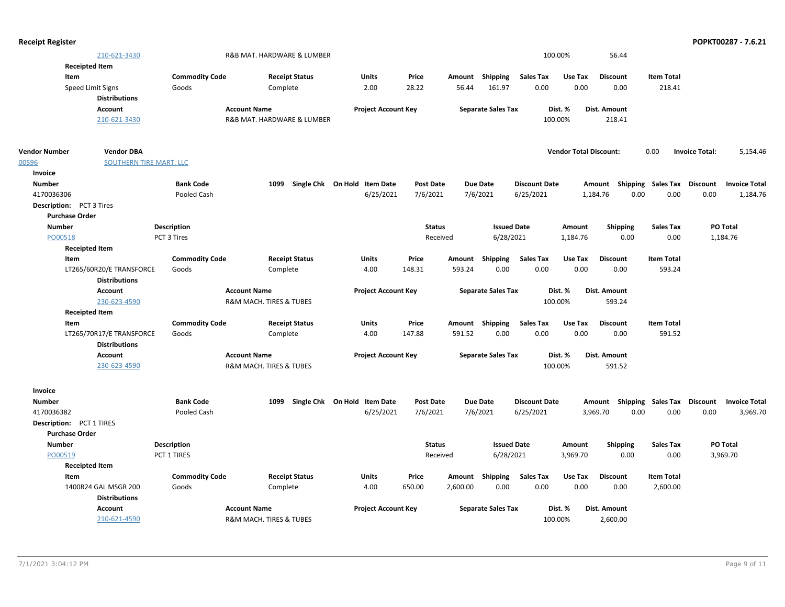| <b>Receipt Register</b>                   |                                |                                        |                              |                  |                           |                      |                               |                           |                   | POPKT00287 - 7.6.21                     |
|-------------------------------------------|--------------------------------|----------------------------------------|------------------------------|------------------|---------------------------|----------------------|-------------------------------|---------------------------|-------------------|-----------------------------------------|
| 210-621-3430                              |                                | R&B MAT. HARDWARE & LUMBER             |                              |                  |                           | 100.00%              |                               | 56.44                     |                   |                                         |
| <b>Receipted Item</b>                     |                                |                                        |                              |                  |                           |                      |                               |                           |                   |                                         |
| Item                                      | <b>Commodity Code</b>          | <b>Receipt Status</b>                  | Units                        | Price            | Amount Shipping           | Sales Tax            | Use Tax                       | <b>Discount</b>           | <b>Item Total</b> |                                         |
| Speed Limit SIgns                         | Goods                          | Complete                               | 2.00                         | 28.22            | 161.97<br>56.44           | 0.00                 | 0.00                          | 0.00                      | 218.41            |                                         |
| <b>Distributions</b>                      |                                |                                        |                              |                  |                           |                      |                               |                           |                   |                                         |
| Account                                   |                                | <b>Account Name</b>                    | <b>Project Account Key</b>   |                  | <b>Separate Sales Tax</b> | Dist. %              |                               | <b>Dist. Amount</b>       |                   |                                         |
| 210-621-3430                              |                                | R&B MAT. HARDWARE & LUMBER             |                              |                  |                           | 100.00%              |                               | 218.41                    |                   |                                         |
|                                           |                                |                                        |                              |                  |                           |                      |                               |                           |                   |                                         |
| <b>Vendor Number</b><br><b>Vendor DBA</b> |                                |                                        |                              |                  |                           |                      | <b>Vendor Total Discount:</b> |                           | 0.00              | <b>Invoice Total:</b><br>5,154.46       |
| 00596                                     | <b>SOUTHERN TIRE MART, LLC</b> |                                        |                              |                  |                           |                      |                               |                           |                   |                                         |
| Invoice                                   |                                |                                        |                              |                  |                           |                      |                               |                           |                   |                                         |
| <b>Number</b>                             | <b>Bank Code</b>               | 1099                                   | Single Chk On Hold Item Date | <b>Post Date</b> | <b>Due Date</b>           | <b>Discount Date</b> |                               | Amount Shipping Sales Tax |                   | <b>Discount</b><br><b>Invoice Total</b> |
| 4170036306                                | Pooled Cash                    |                                        | 6/25/2021                    | 7/6/2021         | 7/6/2021                  | 6/25/2021            | 1,184.76                      | 0.00                      | 0.00              | 0.00<br>1,184.76                        |
| <b>Description:</b> PCT 3 Tires           |                                |                                        |                              |                  |                           |                      |                               |                           |                   |                                         |
| <b>Purchase Order</b>                     |                                |                                        |                              |                  |                           |                      |                               |                           |                   |                                         |
| <b>Number</b>                             | <b>Description</b>             |                                        |                              | <b>Status</b>    | <b>Issued Date</b>        |                      | Amount                        | Shipping                  | <b>Sales Tax</b>  | PO Total                                |
| PO00518                                   | PCT 3 Tires                    |                                        |                              | Received         | 6/28/2021                 |                      | 1,184.76                      | 0.00                      | 0.00              | 1,184.76                                |
| <b>Receipted Item</b>                     |                                |                                        |                              |                  |                           |                      |                               |                           |                   |                                         |
| Item                                      | <b>Commodity Code</b>          | <b>Receipt Status</b>                  | Units                        | Price            | Amount Shipping           | Sales Tax            | Use Tax                       | <b>Discount</b>           | <b>Item Total</b> |                                         |
| LT265/60R20/E TRANSFORCE                  | Goods                          | Complete                               | 4.00                         | 148.31           | 0.00<br>593.24            | 0.00                 | 0.00                          | 0.00                      | 593.24            |                                         |
| <b>Distributions</b>                      |                                |                                        |                              |                  |                           |                      |                               |                           |                   |                                         |
| Account                                   |                                | <b>Account Name</b>                    | <b>Project Account Key</b>   |                  | <b>Separate Sales Tax</b> | Dist. %              |                               | <b>Dist. Amount</b>       |                   |                                         |
| 230-623-4590                              |                                | R&M MACH. TIRES & TUBES                |                              |                  |                           | 100.00%              |                               | 593.24                    |                   |                                         |
| <b>Receipted Item</b>                     |                                |                                        |                              |                  |                           |                      |                               |                           |                   |                                         |
| Item                                      | <b>Commodity Code</b>          | <b>Receipt Status</b>                  | Units                        | Price            | Amount Shipping           | <b>Sales Tax</b>     | Use Tax                       | <b>Discount</b>           | <b>Item Total</b> |                                         |
| LT265/70R17/E TRANSFORCE                  | Goods                          | Complete                               | 4.00                         | 147.88           | 0.00<br>591.52            | 0.00                 | 0.00                          | 0.00                      | 591.52            |                                         |
| <b>Distributions</b>                      |                                |                                        |                              |                  |                           |                      |                               |                           |                   |                                         |
| Account                                   |                                | <b>Account Name</b>                    | <b>Project Account Key</b>   |                  | <b>Separate Sales Tax</b> | Dist. %              |                               | <b>Dist. Amount</b>       |                   |                                         |
| 230-623-4590                              |                                | <b>R&amp;M MACH. TIRES &amp; TUBES</b> |                              |                  |                           | 100.00%              |                               | 591.52                    |                   |                                         |
|                                           |                                |                                        |                              |                  |                           |                      |                               |                           |                   |                                         |
| Invoice                                   |                                |                                        |                              |                  |                           |                      |                               |                           |                   |                                         |
| <b>Number</b>                             | <b>Bank Code</b>               | 1099                                   | Single Chk On Hold Item Date | Post Date        | <b>Due Date</b>           | <b>Discount Date</b> | Amount                        | Shipping                  | Sales Tax         | <b>Discount</b><br><b>Invoice Total</b> |
| 4170036382                                | Pooled Cash                    |                                        | 6/25/2021                    | 7/6/2021         | 7/6/2021                  | 6/25/2021            | 3,969.70                      | 0.00                      | 0.00              | 0.00<br>3,969.70                        |
| Description: PCT 1 TIRES                  |                                |                                        |                              |                  |                           |                      |                               |                           |                   |                                         |
| <b>Purchase Order</b>                     |                                |                                        |                              |                  |                           |                      |                               |                           |                   |                                         |
| <b>Number</b>                             | <b>Description</b>             |                                        |                              | <b>Status</b>    | <b>Issued Date</b>        |                      | Amount                        | <b>Shipping</b>           | <b>Sales Tax</b>  | PO Total                                |
| PO00519                                   | PCT 1 TIRES                    |                                        |                              | Received         | 6/28/2021                 |                      | 3,969.70                      | 0.00                      | 0.00              | 3,969.70                                |
| <b>Receipted Item</b>                     |                                |                                        |                              |                  |                           |                      |                               |                           |                   |                                         |
| Item                                      | <b>Commodity Code</b>          | <b>Receipt Status</b>                  | Units                        | Price            | Amount Shipping           | <b>Sales Tax</b>     | Use Tax                       | <b>Discount</b>           | <b>Item Total</b> |                                         |
| 1400R24 GAL MSGR 200                      | Goods                          | Complete                               | 4.00                         | 650.00           | 0.00<br>2,600.00          | 0.00                 | 0.00                          | 0.00                      | 2,600.00          |                                         |
| <b>Distributions</b>                      |                                |                                        |                              |                  |                           |                      |                               |                           |                   |                                         |
| <b>Account</b>                            |                                | <b>Account Name</b>                    | <b>Project Account Key</b>   |                  | <b>Separate Sales Tax</b> | Dist. %              |                               | Dist. Amount              |                   |                                         |
| 210-621-4590                              |                                | R&M MACH. TIRES & TUBES                |                              |                  |                           | 100.00%              |                               | 2,600.00                  |                   |                                         |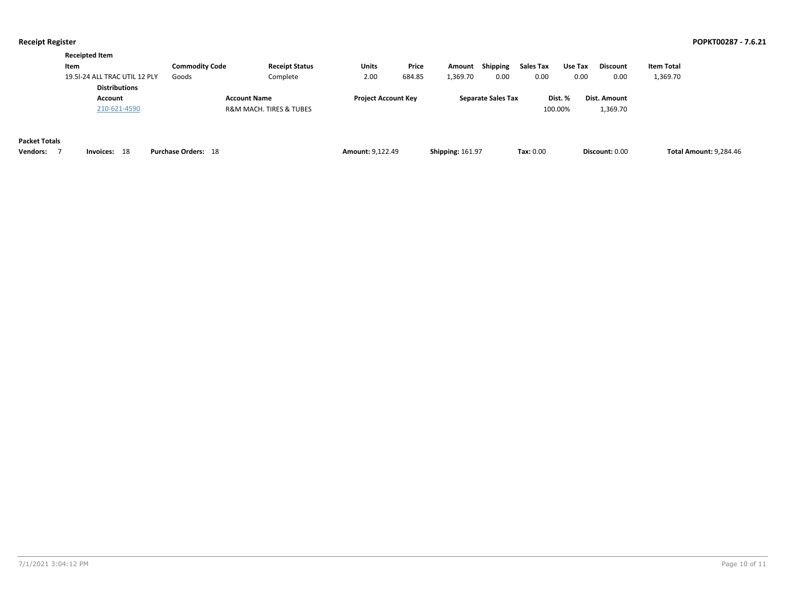|                      | <b>Receipted Item</b>                                 |                            |                         |                            |        |                         |                           |           |         |                 |                               |
|----------------------|-------------------------------------------------------|----------------------------|-------------------------|----------------------------|--------|-------------------------|---------------------------|-----------|---------|-----------------|-------------------------------|
|                      | Item                                                  | <b>Commodity Code</b>      | <b>Receipt Status</b>   | Units                      | Price  | Amount                  | <b>Shipping</b>           | Sales Tax | Use Tax | <b>Discount</b> | <b>Item Total</b>             |
|                      | 19.5I-24 ALL TRAC UTIL 12 PLY<br><b>Distributions</b> | Goods                      | Complete                | 2.00                       | 684.85 | 1,369.70                | 0.00                      | 0.00      | 0.00    | 0.00            | 1,369.70                      |
|                      | Account                                               |                            | <b>Account Name</b>     | <b>Project Account Key</b> |        |                         | <b>Separate Sales Tax</b> |           | Dist. % | Dist. Amount    |                               |
|                      | 210-621-4590                                          |                            | R&M MACH. TIRES & TUBES |                            |        |                         |                           |           | 100.00% | 1,369.70        |                               |
| <b>Packet Totals</b> |                                                       |                            |                         |                            |        |                         |                           |           |         |                 |                               |
| <b>Vendors:</b>      | 18<br>Invoices:                                       | <b>Purchase Orders: 18</b> |                         | <b>Amount: 9,122.49</b>    |        | <b>Shipping: 161.97</b> |                           | Tax: 0.00 |         | Discount: 0.00  | <b>Total Amount: 9,284.46</b> |